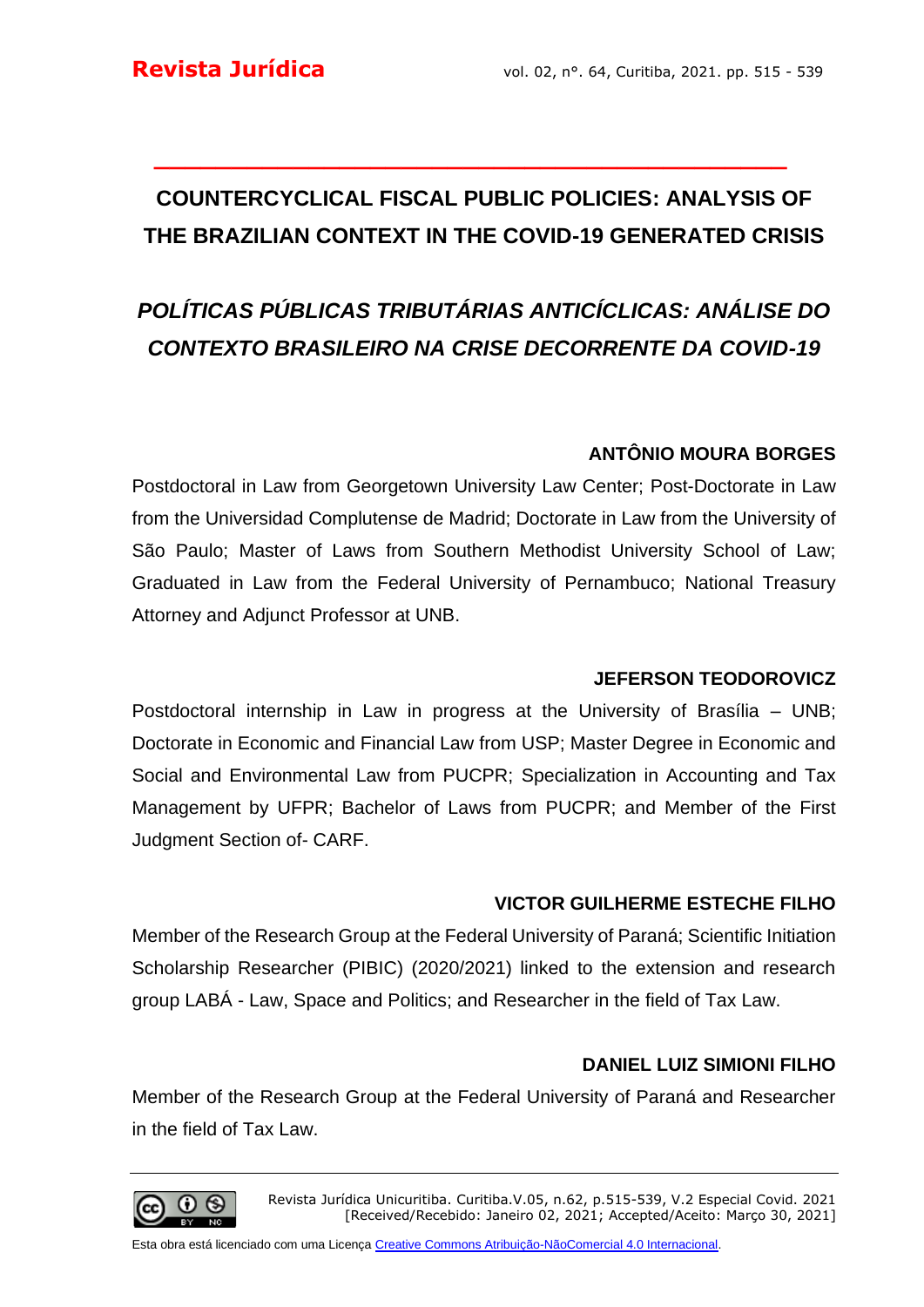# **COUNTERCYCLICAL FISCAL PUBLIC POLICIES: ANALYSIS OF THE BRAZILIAN CONTEXT IN THE COVID-19 GENERATED CRISIS**

**\_\_\_\_\_\_\_\_\_\_\_\_\_\_\_\_\_\_\_\_\_\_\_\_\_\_\_\_\_\_\_\_\_\_\_\_\_\_\_\_\_**

# *POLÍTICAS PÚBLICAS TRIBUTÁRIAS ANTICÍCLICAS: ANÁLISE DO CONTEXTO BRASILEIRO NA CRISE DECORRENTE DA COVID-19*

## **ANTÔNIO MOURA BORGES**

Postdoctoral in Law from Georgetown University Law Center; Post-Doctorate in Law from the Universidad Complutense de Madrid; Doctorate in Law from the University of São Paulo; Master of Laws from Southern Methodist University School of Law; Graduated in Law from the Federal University of Pernambuco; National Treasury Attorney and Adjunct Professor at UNB.

#### **JEFERSON TEODOROVICZ**

Postdoctoral internship in Law in progress at the University of Brasília – UNB; Doctorate in Economic and Financial Law from USP; Master Degree in Economic and Social and Environmental Law from PUCPR; Specialization in Accounting and Tax Management by UFPR; Bachelor of Laws from PUCPR; and Member of the First Judgment Section of- CARF.

### **VICTOR GUILHERME ESTECHE FILHO**

Member of the Research Group at the Federal University of Paraná; Scientific Initiation Scholarship Researcher (PIBIC) (2020/2021) linked to the extension and research group LABÁ - Law, Space and Politics; and Researcher in the field of Tax Law.

### **DANIEL LUIZ SIMIONI FILHO**

Member of the Research Group at the Federal University of Paraná and Researcher in the field of Tax Law.

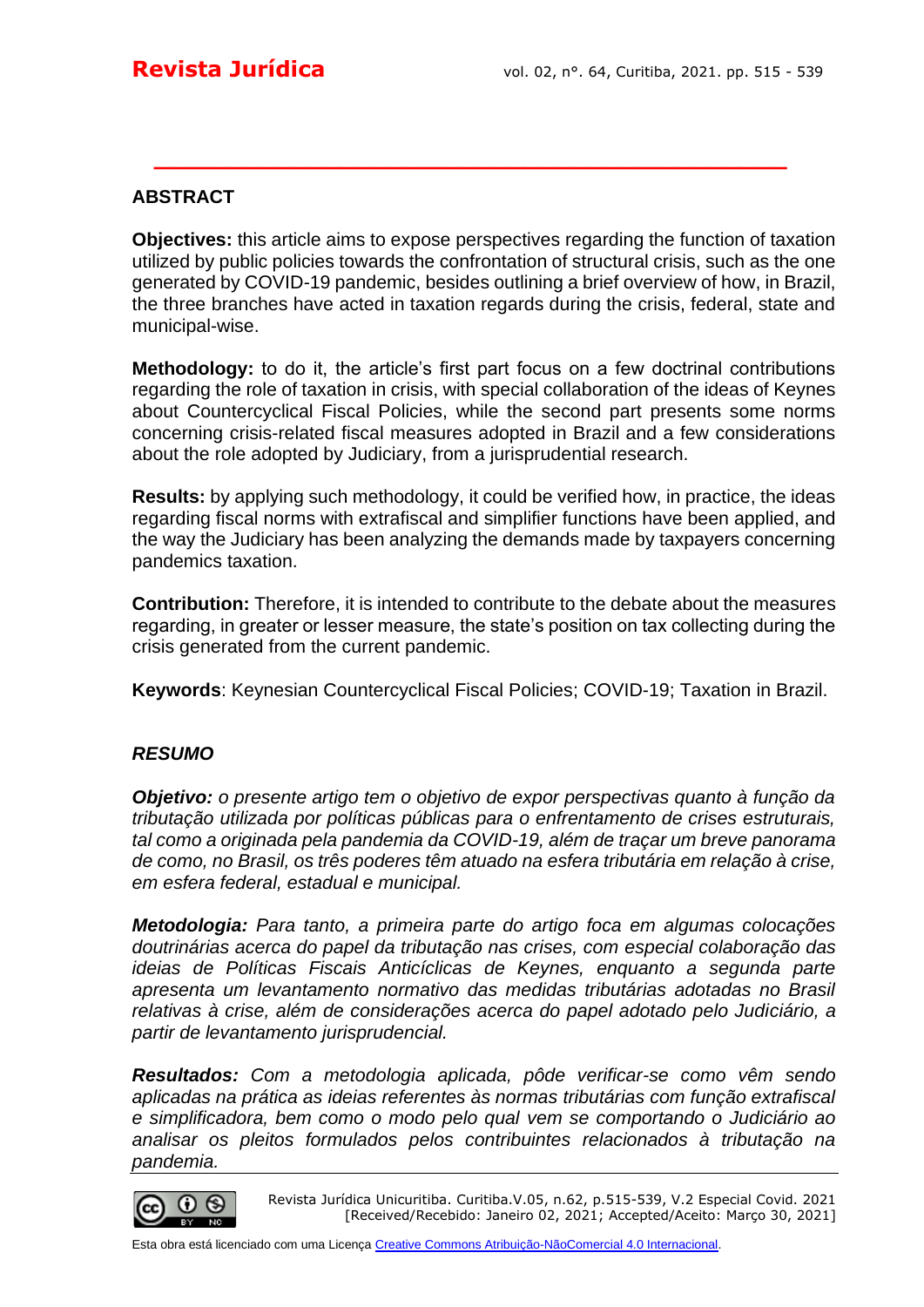#### **ABSTRACT**

**Objectives:** this article aims to expose perspectives regarding the function of taxation utilized by public policies towards the confrontation of structural crisis, such as the one generated by COVID-19 pandemic, besides outlining a brief overview of how, in Brazil, the three branches have acted in taxation regards during the crisis, federal, state and municipal-wise.

**\_\_\_\_\_\_\_\_\_\_\_\_\_\_\_\_\_\_\_\_\_\_\_\_\_\_\_\_\_\_\_\_\_\_\_\_\_\_\_\_\_**

**Methodology:** to do it, the article's first part focus on a few doctrinal contributions regarding the role of taxation in crisis, with special collaboration of the ideas of Keynes about Countercyclical Fiscal Policies, while the second part presents some norms concerning crisis-related fiscal measures adopted in Brazil and a few considerations about the role adopted by Judiciary, from a jurisprudential research.

**Results:** by applying such methodology, it could be verified how, in practice, the ideas regarding fiscal norms with extrafiscal and simplifier functions have been applied, and the way the Judiciary has been analyzing the demands made by taxpayers concerning pandemics taxation.

**Contribution:** Therefore, it is intended to contribute to the debate about the measures regarding, in greater or lesser measure, the state's position on tax collecting during the crisis generated from the current pandemic.

**Keywords**: Keynesian Countercyclical Fiscal Policies; COVID-19; Taxation in Brazil.

#### *RESUMO*

*Objetivo: o presente artigo tem o objetivo de expor perspectivas quanto à função da tributação utilizada por políticas públicas para o enfrentamento de crises estruturais, tal como a originada pela pandemia da COVID-19, além de traçar um breve panorama de como, no Brasil, os três poderes têm atuado na esfera tributária em relação à crise, em esfera federal, estadual e municipal.* 

*Metodologia: Para tanto, a primeira parte do artigo foca em algumas colocações doutrinárias acerca do papel da tributação nas crises, com especial colaboração das ideias de Políticas Fiscais Anticíclicas de Keynes, enquanto a segunda parte apresenta um levantamento normativo das medidas tributárias adotadas no Brasil relativas à crise, além de considerações acerca do papel adotado pelo Judiciário, a partir de levantamento jurisprudencial.* 

*Resultados: Com a metodologia aplicada, pôde verificar-se como vêm sendo aplicadas na prática as ideias referentes às normas tributárias com função extrafiscal e simplificadora, bem como o modo pelo qual vem se comportando o Judiciário ao analisar os pleitos formulados pelos contribuintes relacionados à tributação na pandemia.*

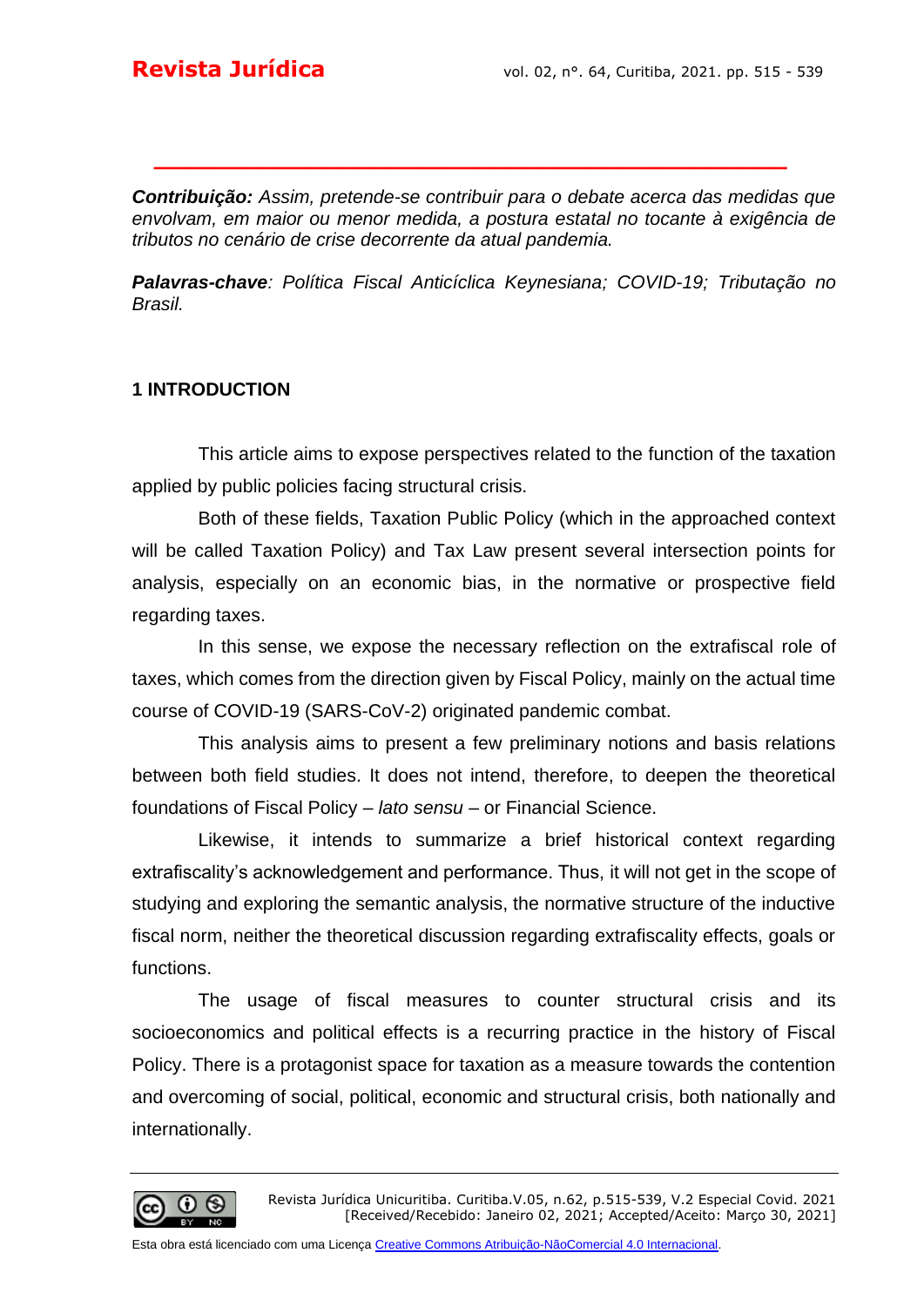*Contribuição: Assim, pretende-se contribuir para o debate acerca das medidas que envolvam, em maior ou menor medida, a postura estatal no tocante à exigência de tributos no cenário de crise decorrente da atual pandemia.*

**\_\_\_\_\_\_\_\_\_\_\_\_\_\_\_\_\_\_\_\_\_\_\_\_\_\_\_\_\_\_\_\_\_\_\_\_\_\_\_\_\_**

*Palavras-chave: Política Fiscal Anticíclica Keynesiana; COVID-19; Tributação no Brasil.*

#### **1 INTRODUCTION**

This article aims to expose perspectives related to the function of the taxation applied by public policies facing structural crisis.

Both of these fields, Taxation Public Policy (which in the approached context will be called Taxation Policy) and Tax Law present several intersection points for analysis, especially on an economic bias, in the normative or prospective field regarding taxes.

In this sense, we expose the necessary reflection on the extrafiscal role of taxes, which comes from the direction given by Fiscal Policy, mainly on the actual time course of COVID-19 (SARS-CoV-2) originated pandemic combat.

This analysis aims to present a few preliminary notions and basis relations between both field studies. It does not intend, therefore, to deepen the theoretical foundations of Fiscal Policy – *lato sensu* – or Financial Science.

Likewise, it intends to summarize a brief historical context regarding extrafiscality's acknowledgement and performance. Thus, it will not get in the scope of studying and exploring the semantic analysis, the normative structure of the inductive fiscal norm, neither the theoretical discussion regarding extrafiscality effects, goals or functions.

The usage of fiscal measures to counter structural crisis and its socioeconomics and political effects is a recurring practice in the history of Fiscal Policy. There is a protagonist space for taxation as a measure towards the contention and overcoming of social, political, economic and structural crisis, both nationally and internationally.

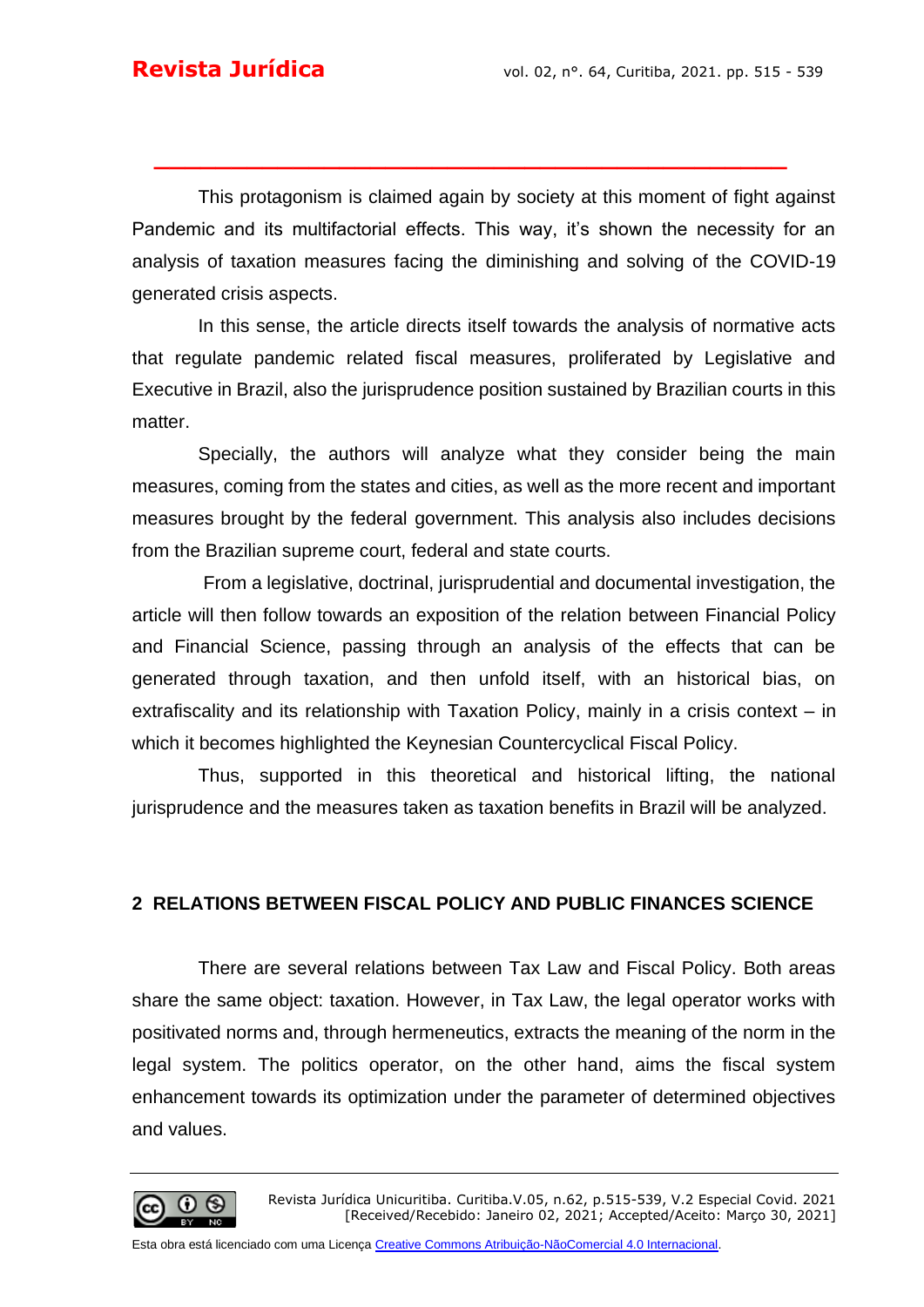This protagonism is claimed again by society at this moment of fight against Pandemic and its multifactorial effects. This way, it's shown the necessity for an analysis of taxation measures facing the diminishing and solving of the COVID-19 generated crisis aspects.

**\_\_\_\_\_\_\_\_\_\_\_\_\_\_\_\_\_\_\_\_\_\_\_\_\_\_\_\_\_\_\_\_\_\_\_\_\_\_\_\_\_**

In this sense, the article directs itself towards the analysis of normative acts that regulate pandemic related fiscal measures, proliferated by Legislative and Executive in Brazil, also the jurisprudence position sustained by Brazilian courts in this matter.

Specially, the authors will analyze what they consider being the main measures, coming from the states and cities, as well as the more recent and important measures brought by the federal government. This analysis also includes decisions from the Brazilian supreme court, federal and state courts.

From a legislative, doctrinal, jurisprudential and documental investigation, the article will then follow towards an exposition of the relation between Financial Policy and Financial Science, passing through an analysis of the effects that can be generated through taxation, and then unfold itself, with an historical bias, on extrafiscality and its relationship with Taxation Policy, mainly in a crisis context – in which it becomes highlighted the Keynesian Countercyclical Fiscal Policy.

Thus, supported in this theoretical and historical lifting, the national jurisprudence and the measures taken as taxation benefits in Brazil will be analyzed.

#### **2 RELATIONS BETWEEN FISCAL POLICY AND PUBLIC FINANCES SCIENCE**

There are several relations between Tax Law and Fiscal Policy. Both areas share the same object: taxation. However, in Tax Law, the legal operator works with positivated norms and, through hermeneutics, extracts the meaning of the norm in the legal system. The politics operator, on the other hand, aims the fiscal system enhancement towards its optimization under the parameter of determined objectives and values.

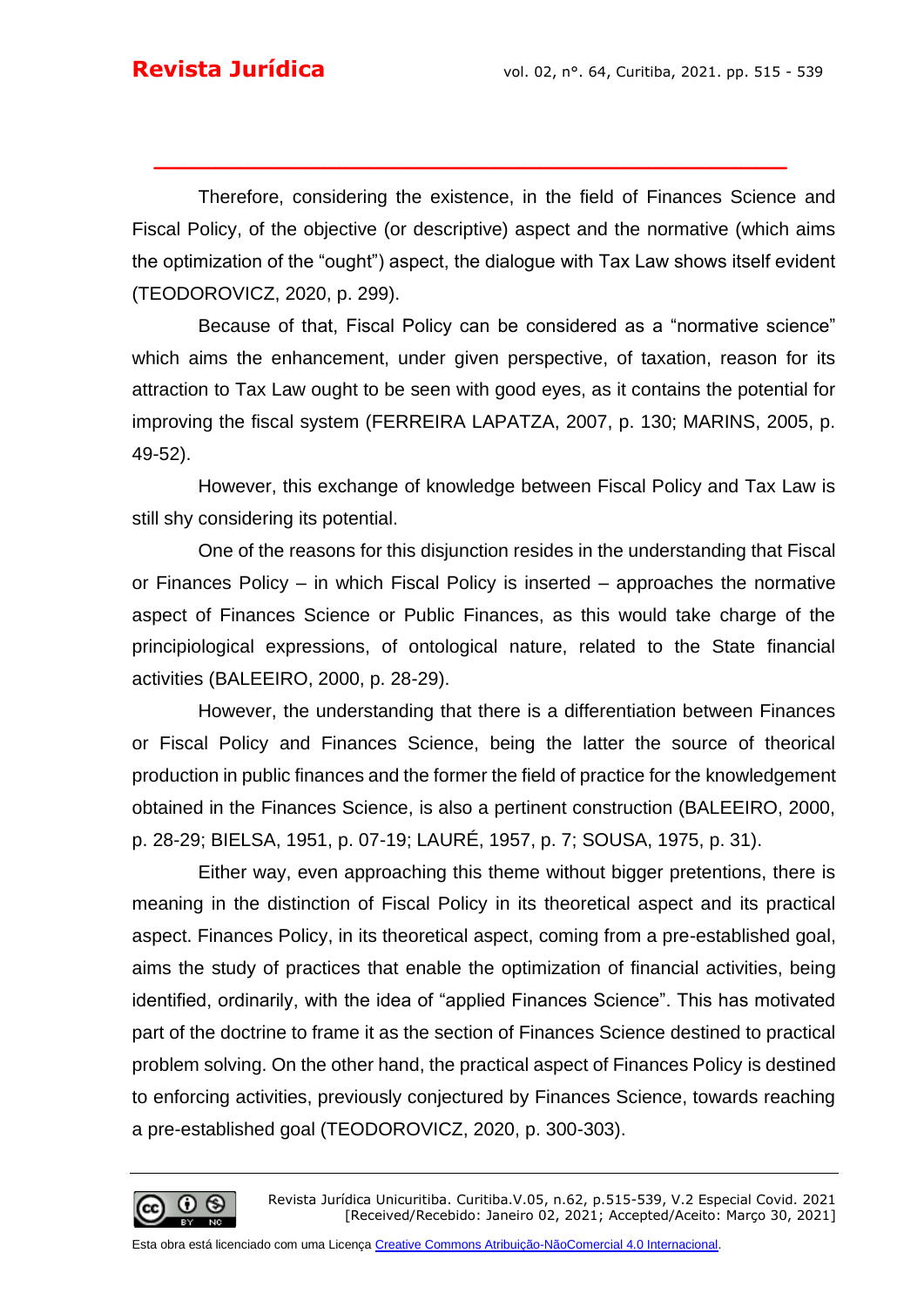Therefore, considering the existence, in the field of Finances Science and Fiscal Policy, of the objective (or descriptive) aspect and the normative (which aims the optimization of the "ought") aspect, the dialogue with Tax Law shows itself evident (TEODOROVICZ, 2020, p. 299).

**\_\_\_\_\_\_\_\_\_\_\_\_\_\_\_\_\_\_\_\_\_\_\_\_\_\_\_\_\_\_\_\_\_\_\_\_\_\_\_\_\_**

Because of that, Fiscal Policy can be considered as a "normative science" which aims the enhancement, under given perspective, of taxation, reason for its attraction to Tax Law ought to be seen with good eyes, as it contains the potential for improving the fiscal system (FERREIRA LAPATZA, 2007, p. 130; MARINS, 2005, p. 49-52).

However, this exchange of knowledge between Fiscal Policy and Tax Law is still shy considering its potential.

One of the reasons for this disjunction resides in the understanding that Fiscal or Finances Policy – in which Fiscal Policy is inserted – approaches the normative aspect of Finances Science or Public Finances, as this would take charge of the principiological expressions, of ontological nature, related to the State financial activities (BALEEIRO, 2000, p. 28-29).

However, the understanding that there is a differentiation between Finances or Fiscal Policy and Finances Science, being the latter the source of theorical production in public finances and the former the field of practice for the knowledgement obtained in the Finances Science, is also a pertinent construction (BALEEIRO, 2000, p. 28-29; BIELSA, 1951, p. 07-19; LAURÉ, 1957, p. 7; SOUSA, 1975, p. 31).

Either way, even approaching this theme without bigger pretentions, there is meaning in the distinction of Fiscal Policy in its theoretical aspect and its practical aspect. Finances Policy, in its theoretical aspect, coming from a pre-established goal, aims the study of practices that enable the optimization of financial activities, being identified, ordinarily, with the idea of "applied Finances Science". This has motivated part of the doctrine to frame it as the section of Finances Science destined to practical problem solving. On the other hand, the practical aspect of Finances Policy is destined to enforcing activities, previously conjectured by Finances Science, towards reaching a pre-established goal (TEODOROVICZ, 2020, p. 300-303).

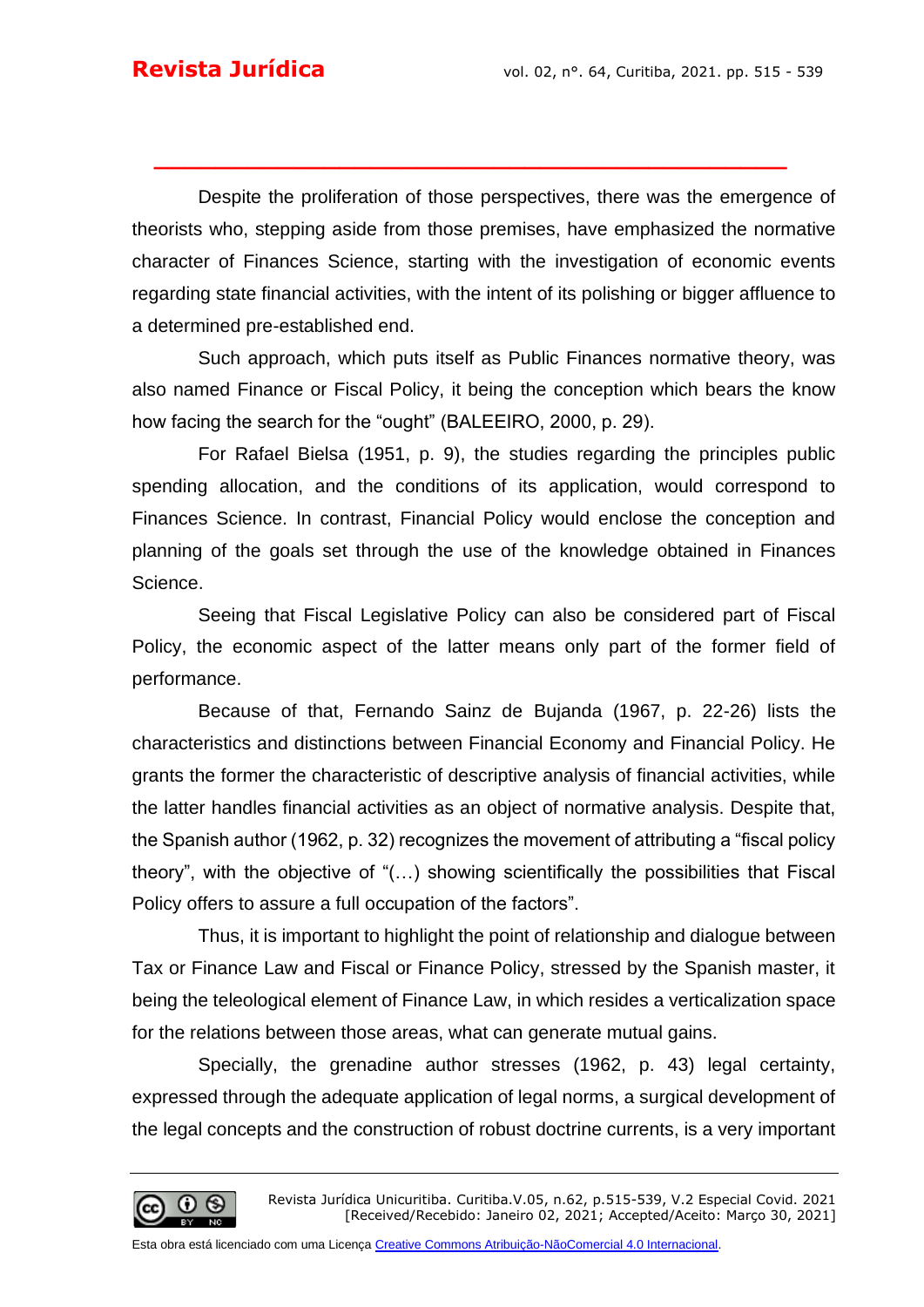Despite the proliferation of those perspectives, there was the emergence of theorists who, stepping aside from those premises, have emphasized the normative character of Finances Science, starting with the investigation of economic events regarding state financial activities, with the intent of its polishing or bigger affluence to a determined pre-established end.

**\_\_\_\_\_\_\_\_\_\_\_\_\_\_\_\_\_\_\_\_\_\_\_\_\_\_\_\_\_\_\_\_\_\_\_\_\_\_\_\_\_**

Such approach, which puts itself as Public Finances normative theory, was also named Finance or Fiscal Policy, it being the conception which bears the know how facing the search for the "ought" (BALEEIRO, 2000, p. 29).

For Rafael Bielsa (1951, p. 9), the studies regarding the principles public spending allocation, and the conditions of its application, would correspond to Finances Science. In contrast, Financial Policy would enclose the conception and planning of the goals set through the use of the knowledge obtained in Finances Science.

Seeing that Fiscal Legislative Policy can also be considered part of Fiscal Policy, the economic aspect of the latter means only part of the former field of performance.

Because of that, Fernando Sainz de Bujanda (1967, p. 22-26) lists the characteristics and distinctions between Financial Economy and Financial Policy. He grants the former the characteristic of descriptive analysis of financial activities, while the latter handles financial activities as an object of normative analysis. Despite that, the Spanish author (1962, p. 32) recognizes the movement of attributing a "fiscal policy theory", with the objective of "(…) showing scientifically the possibilities that Fiscal Policy offers to assure a full occupation of the factors".

Thus, it is important to highlight the point of relationship and dialogue between Tax or Finance Law and Fiscal or Finance Policy, stressed by the Spanish master, it being the teleological element of Finance Law, in which resides a verticalization space for the relations between those areas, what can generate mutual gains.

Specially, the grenadine author stresses (1962, p. 43) legal certainty, expressed through the adequate application of legal norms, a surgical development of the legal concepts and the construction of robust doctrine currents, is a very important

(cc)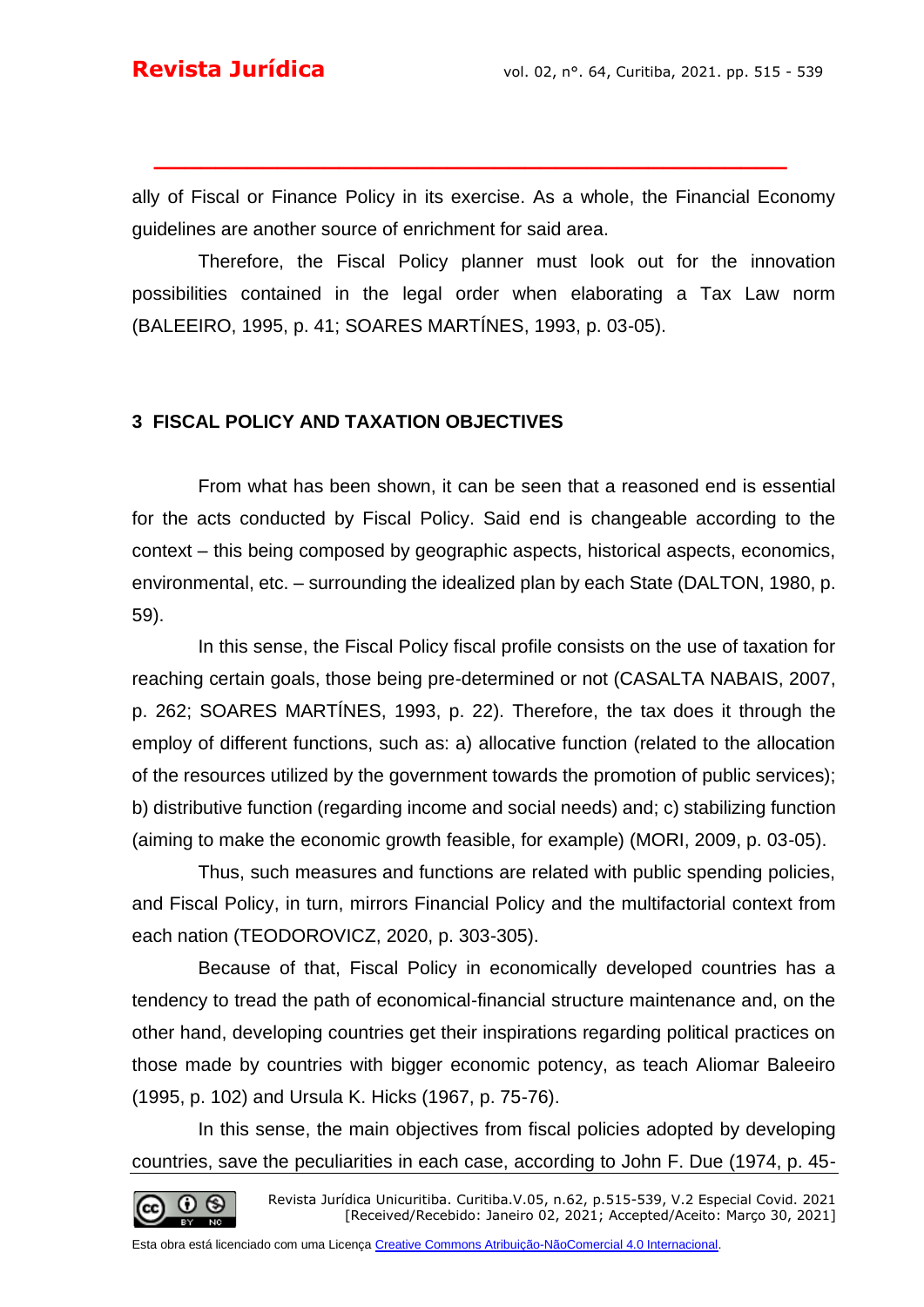ally of Fiscal or Finance Policy in its exercise. As a whole, the Financial Economy guidelines are another source of enrichment for said area.

**\_\_\_\_\_\_\_\_\_\_\_\_\_\_\_\_\_\_\_\_\_\_\_\_\_\_\_\_\_\_\_\_\_\_\_\_\_\_\_\_\_**

Therefore, the Fiscal Policy planner must look out for the innovation possibilities contained in the legal order when elaborating a Tax Law norm (BALEEIRO, 1995, p. 41; SOARES MARTÍNES, 1993, p. 03-05).

#### **3 FISCAL POLICY AND TAXATION OBJECTIVES**

From what has been shown, it can be seen that a reasoned end is essential for the acts conducted by Fiscal Policy. Said end is changeable according to the context – this being composed by geographic aspects, historical aspects, economics, environmental, etc. – surrounding the idealized plan by each State (DALTON, 1980, p. 59).

In this sense, the Fiscal Policy fiscal profile consists on the use of taxation for reaching certain goals, those being pre-determined or not (CASALTA NABAIS, 2007, p. 262; SOARES MARTÍNES, 1993, p. 22). Therefore, the tax does it through the employ of different functions, such as: a) allocative function (related to the allocation of the resources utilized by the government towards the promotion of public services); b) distributive function (regarding income and social needs) and; c) stabilizing function (aiming to make the economic growth feasible, for example) (MORI, 2009, p. 03-05).

Thus, such measures and functions are related with public spending policies, and Fiscal Policy, in turn, mirrors Financial Policy and the multifactorial context from each nation (TEODOROVICZ, 2020, p. 303-305).

Because of that, Fiscal Policy in economically developed countries has a tendency to tread the path of economical-financial structure maintenance and, on the other hand, developing countries get their inspirations regarding political practices on those made by countries with bigger economic potency, as teach Aliomar Baleeiro (1995, p. 102) and Ursula K. Hicks (1967, p. 75-76).

In this sense, the main objectives from fiscal policies adopted by developing countries, save the peculiarities in each case, according to John F. Due (1974, p. 45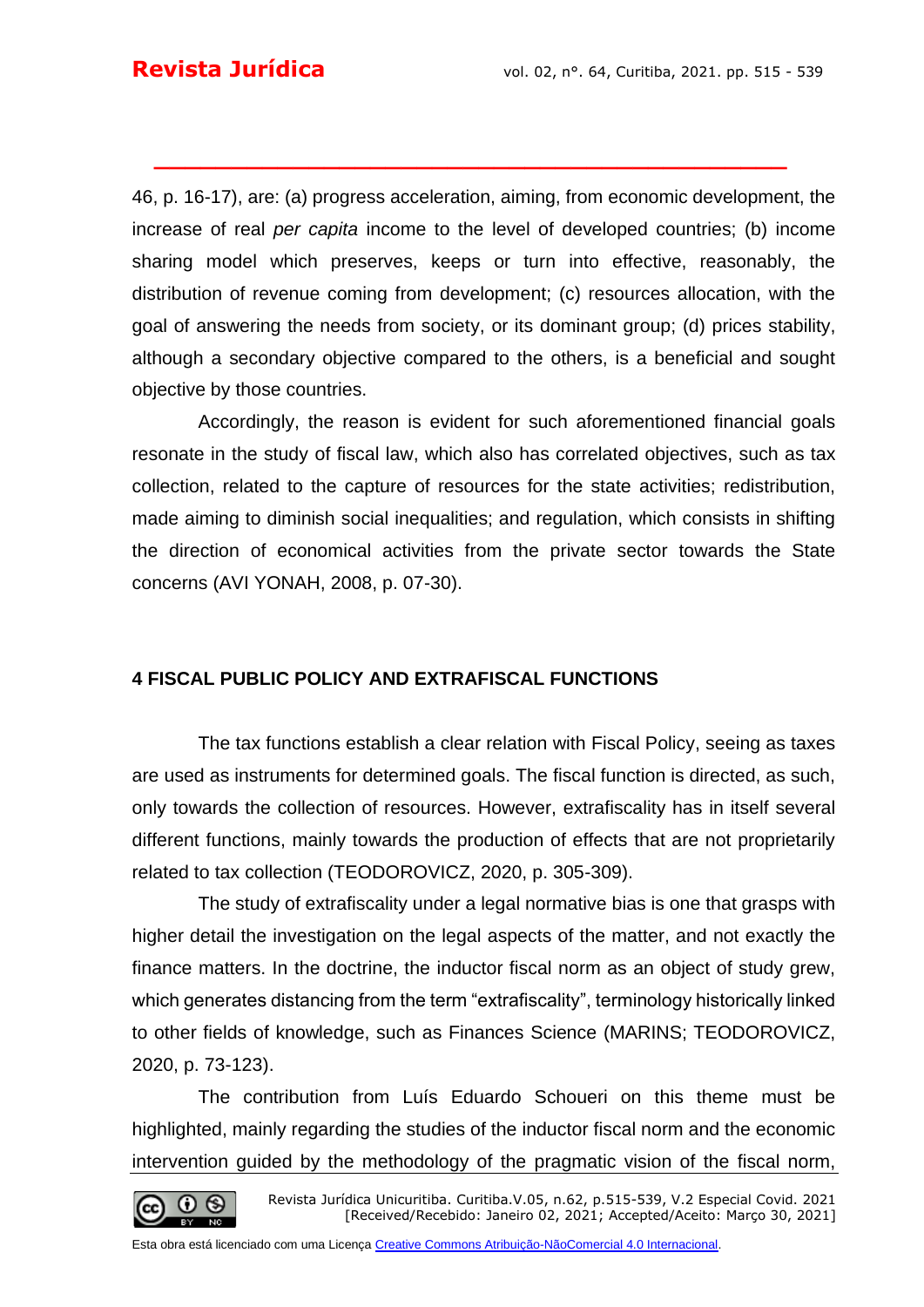46, p. 16-17), are: (a) progress acceleration, aiming, from economic development, the increase of real *per capita* income to the level of developed countries; (b) income sharing model which preserves, keeps or turn into effective, reasonably, the distribution of revenue coming from development; (c) resources allocation, with the goal of answering the needs from society, or its dominant group; (d) prices stability, although a secondary objective compared to the others, is a beneficial and sought objective by those countries.

**\_\_\_\_\_\_\_\_\_\_\_\_\_\_\_\_\_\_\_\_\_\_\_\_\_\_\_\_\_\_\_\_\_\_\_\_\_\_\_\_\_**

Accordingly, the reason is evident for such aforementioned financial goals resonate in the study of fiscal law, which also has correlated objectives, such as tax collection, related to the capture of resources for the state activities; redistribution, made aiming to diminish social inequalities; and regulation, which consists in shifting the direction of economical activities from the private sector towards the State concerns (AVI YONAH, 2008, p. 07-30).

#### **4 FISCAL PUBLIC POLICY AND EXTRAFISCAL FUNCTIONS**

The tax functions establish a clear relation with Fiscal Policy, seeing as taxes are used as instruments for determined goals. The fiscal function is directed, as such, only towards the collection of resources. However, extrafiscality has in itself several different functions, mainly towards the production of effects that are not proprietarily related to tax collection (TEODOROVICZ, 2020, p. 305-309).

The study of extrafiscality under a legal normative bias is one that grasps with higher detail the investigation on the legal aspects of the matter, and not exactly the finance matters. In the doctrine, the inductor fiscal norm as an object of study grew, which generates distancing from the term "extrafiscality", terminology historically linked to other fields of knowledge, such as Finances Science (MARINS; TEODOROVICZ, 2020, p. 73-123).

The contribution from Luís Eduardo Schoueri on this theme must be highlighted, mainly regarding the studies of the inductor fiscal norm and the economic intervention guided by the methodology of the pragmatic vision of the fiscal norm,

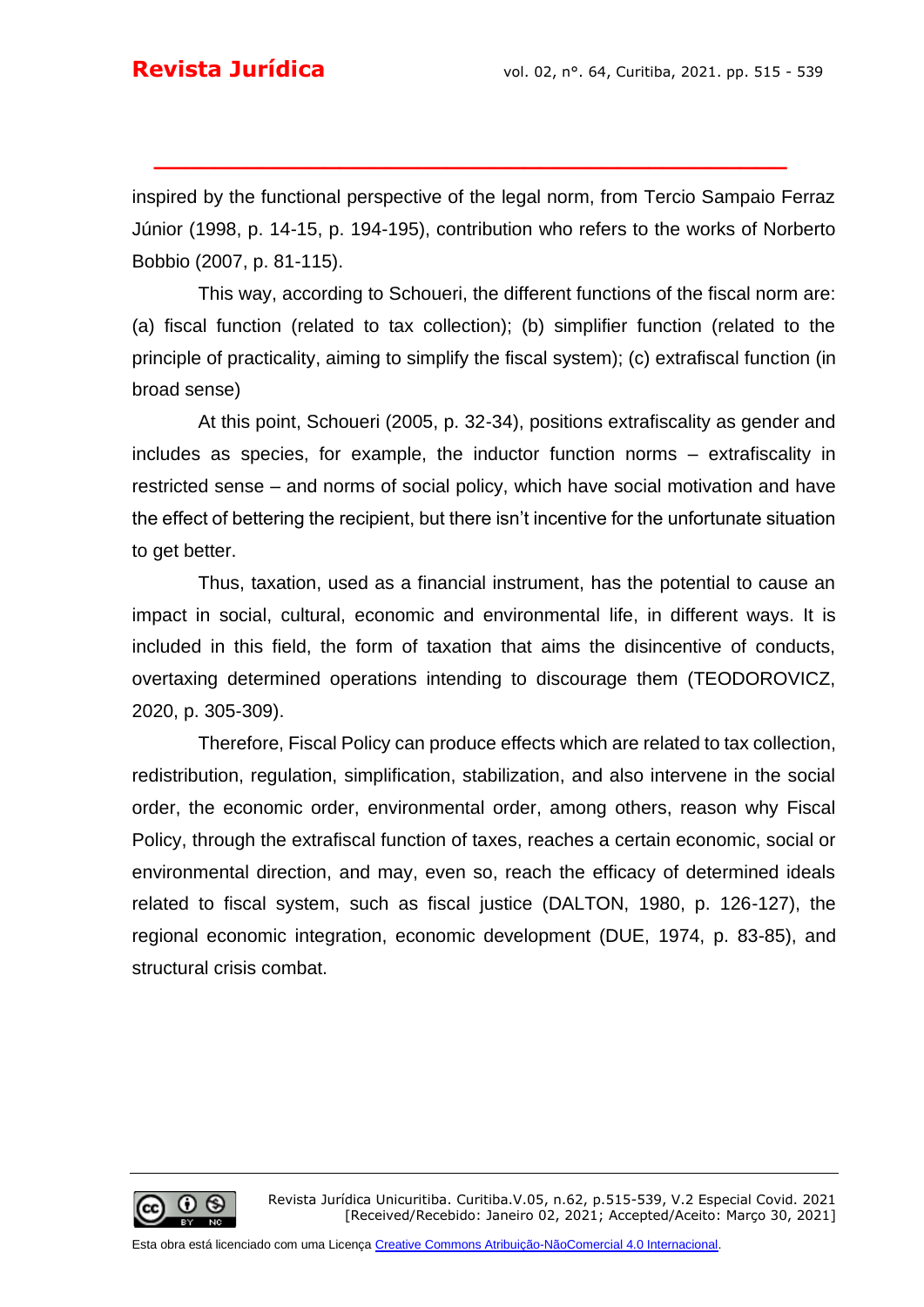inspired by the functional perspective of the legal norm, from Tercio Sampaio Ferraz Júnior (1998, p. 14-15, p. 194-195), contribution who refers to the works of Norberto Bobbio (2007, p. 81-115).

**\_\_\_\_\_\_\_\_\_\_\_\_\_\_\_\_\_\_\_\_\_\_\_\_\_\_\_\_\_\_\_\_\_\_\_\_\_\_\_\_\_**

This way, according to Schoueri, the different functions of the fiscal norm are: (a) fiscal function (related to tax collection); (b) simplifier function (related to the principle of practicality, aiming to simplify the fiscal system); (c) extrafiscal function (in broad sense)

At this point, Schoueri (2005, p. 32-34), positions extrafiscality as gender and includes as species, for example, the inductor function norms – extrafiscality in restricted sense – and norms of social policy, which have social motivation and have the effect of bettering the recipient, but there isn't incentive for the unfortunate situation to get better.

Thus, taxation, used as a financial instrument, has the potential to cause an impact in social, cultural, economic and environmental life, in different ways. It is included in this field, the form of taxation that aims the disincentive of conducts, overtaxing determined operations intending to discourage them (TEODOROVICZ, 2020, p. 305-309).

Therefore, Fiscal Policy can produce effects which are related to tax collection, redistribution, regulation, simplification, stabilization, and also intervene in the social order, the economic order, environmental order, among others, reason why Fiscal Policy, through the extrafiscal function of taxes, reaches a certain economic, social or environmental direction, and may, even so, reach the efficacy of determined ideals related to fiscal system, such as fiscal justice (DALTON, 1980, p. 126-127), the regional economic integration, economic development (DUE, 1974, p. 83-85), and structural crisis combat.

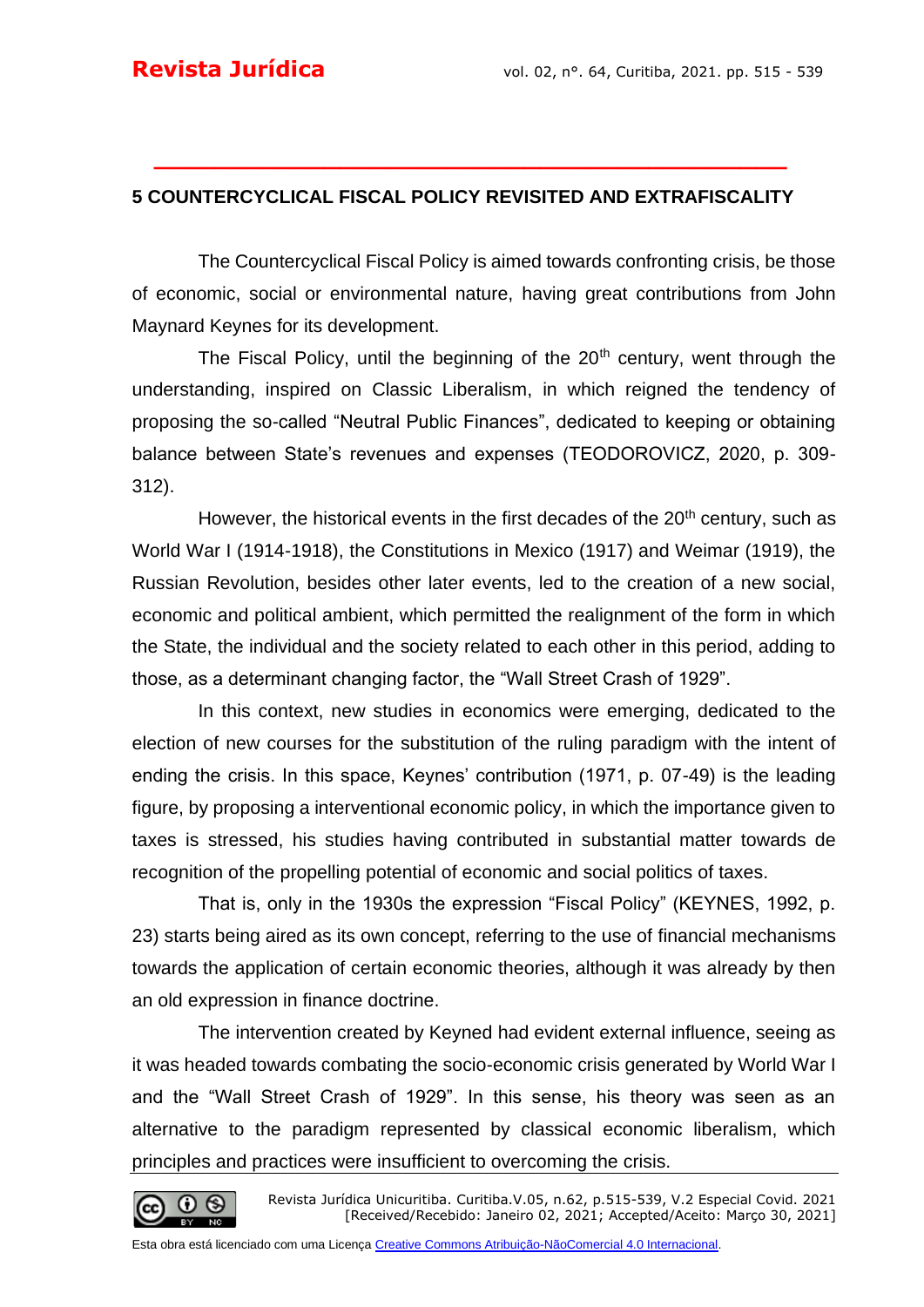#### **5 COUNTERCYCLICAL FISCAL POLICY REVISITED AND EXTRAFISCALITY**

**\_\_\_\_\_\_\_\_\_\_\_\_\_\_\_\_\_\_\_\_\_\_\_\_\_\_\_\_\_\_\_\_\_\_\_\_\_\_\_\_\_**

The Countercyclical Fiscal Policy is aimed towards confronting crisis, be those of economic, social or environmental nature, having great contributions from John Maynard Keynes for its development.

The Fiscal Policy, until the beginning of the  $20<sup>th</sup>$  century, went through the understanding, inspired on Classic Liberalism, in which reigned the tendency of proposing the so-called "Neutral Public Finances", dedicated to keeping or obtaining balance between State's revenues and expenses (TEODOROVICZ, 2020, p. 309- 312).

However, the historical events in the first decades of the  $20<sup>th</sup>$  century, such as World War I (1914-1918), the Constitutions in Mexico (1917) and Weimar (1919), the Russian Revolution, besides other later events, led to the creation of a new social, economic and political ambient, which permitted the realignment of the form in which the State, the individual and the society related to each other in this period, adding to those, as a determinant changing factor, the "Wall Street Crash of 1929".

In this context, new studies in economics were emerging, dedicated to the election of new courses for the substitution of the ruling paradigm with the intent of ending the crisis. In this space, Keynes' contribution (1971, p. 07-49) is the leading figure, by proposing a interventional economic policy, in which the importance given to taxes is stressed, his studies having contributed in substantial matter towards de recognition of the propelling potential of economic and social politics of taxes.

That is, only in the 1930s the expression "Fiscal Policy" (KEYNES, 1992, p. 23) starts being aired as its own concept, referring to the use of financial mechanisms towards the application of certain economic theories, although it was already by then an old expression in finance doctrine.

The intervention created by Keyned had evident external influence, seeing as it was headed towards combating the socio-economic crisis generated by World War I and the "Wall Street Crash of 1929". In this sense, his theory was seen as an alternative to the paradigm represented by classical economic liberalism, which principles and practices were insufficient to overcoming the crisis.

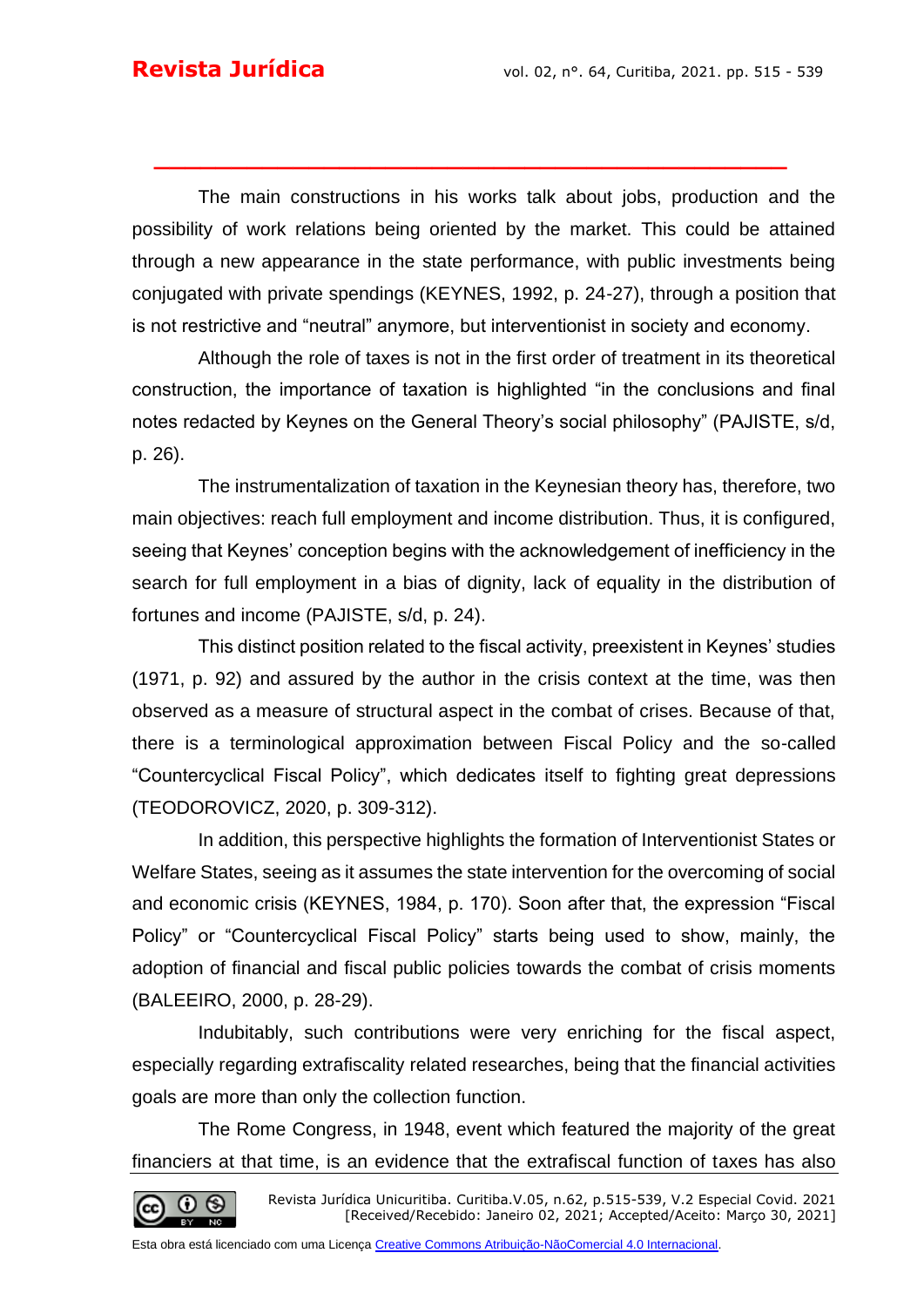The main constructions in his works talk about jobs, production and the possibility of work relations being oriented by the market. This could be attained through a new appearance in the state performance, with public investments being conjugated with private spendings (KEYNES, 1992, p. 24-27), through a position that is not restrictive and "neutral" anymore, but interventionist in society and economy.

**\_\_\_\_\_\_\_\_\_\_\_\_\_\_\_\_\_\_\_\_\_\_\_\_\_\_\_\_\_\_\_\_\_\_\_\_\_\_\_\_\_**

Although the role of taxes is not in the first order of treatment in its theoretical construction, the importance of taxation is highlighted "in the conclusions and final notes redacted by Keynes on the General Theory's social philosophy" (PAJISTE, s/d, p. 26).

The instrumentalization of taxation in the Keynesian theory has, therefore, two main objectives: reach full employment and income distribution. Thus, it is configured, seeing that Keynes' conception begins with the acknowledgement of inefficiency in the search for full employment in a bias of dignity, lack of equality in the distribution of fortunes and income (PAJISTE, s/d, p. 24).

This distinct position related to the fiscal activity, preexistent in Keynes' studies (1971, p. 92) and assured by the author in the crisis context at the time, was then observed as a measure of structural aspect in the combat of crises. Because of that, there is a terminological approximation between Fiscal Policy and the so-called "Countercyclical Fiscal Policy", which dedicates itself to fighting great depressions (TEODOROVICZ, 2020, p. 309-312).

In addition, this perspective highlights the formation of Interventionist States or Welfare States, seeing as it assumes the state intervention for the overcoming of social and economic crisis (KEYNES, 1984, p. 170). Soon after that, the expression "Fiscal Policy" or "Countercyclical Fiscal Policy" starts being used to show, mainly, the adoption of financial and fiscal public policies towards the combat of crisis moments (BALEEIRO, 2000, p. 28-29).

Indubitably, such contributions were very enriching for the fiscal aspect, especially regarding extrafiscality related researches, being that the financial activities goals are more than only the collection function.

The Rome Congress, in 1948, event which featured the majority of the great financiers at that time, is an evidence that the extrafiscal function of taxes has also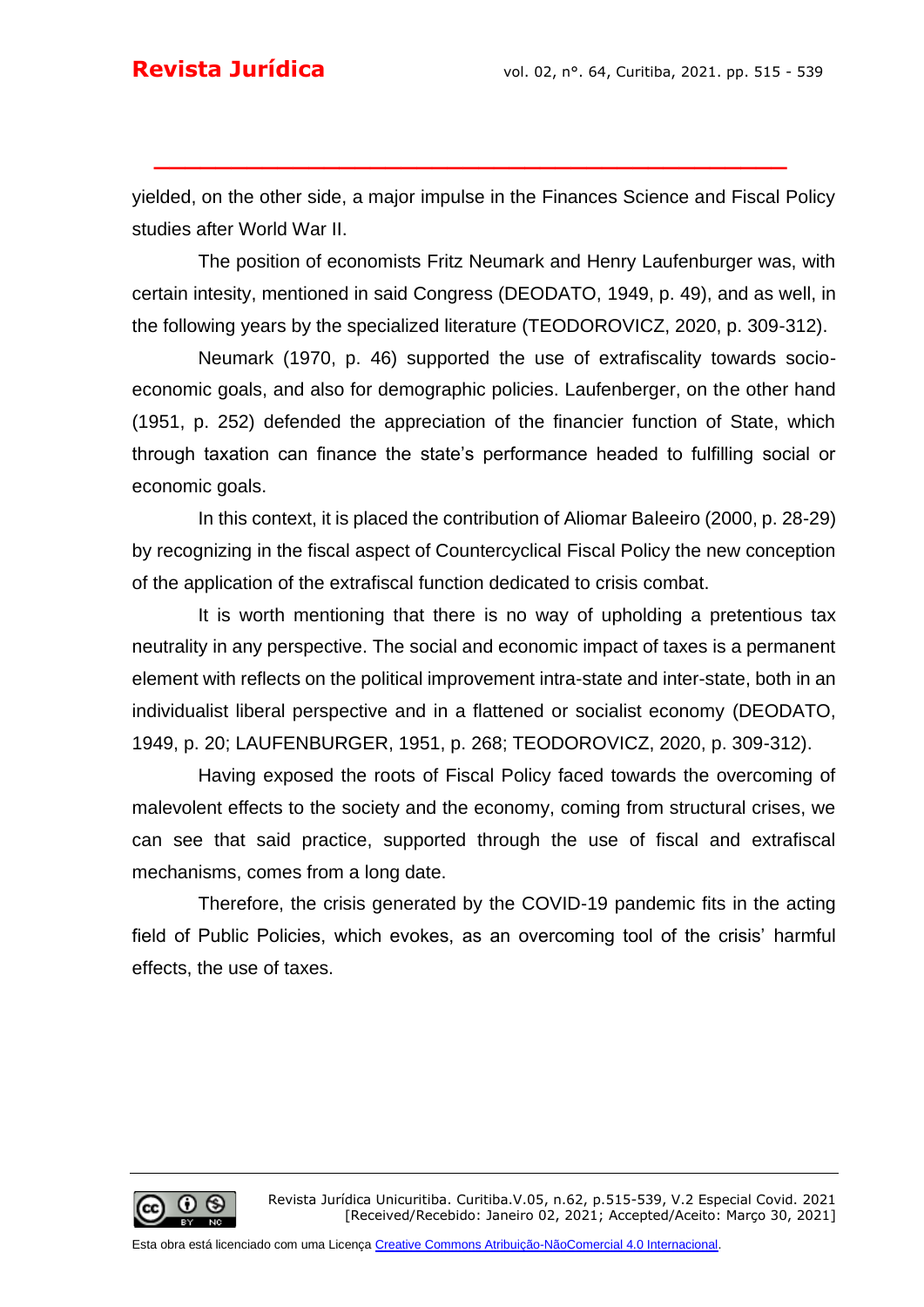yielded, on the other side, a major impulse in the Finances Science and Fiscal Policy studies after World War II.

**\_\_\_\_\_\_\_\_\_\_\_\_\_\_\_\_\_\_\_\_\_\_\_\_\_\_\_\_\_\_\_\_\_\_\_\_\_\_\_\_\_**

The position of economists Fritz Neumark and Henry Laufenburger was, with certain intesity, mentioned in said Congress (DEODATO, 1949, p. 49), and as well, in the following years by the specialized literature (TEODOROVICZ, 2020, p. 309-312).

Neumark (1970, p. 46) supported the use of extrafiscality towards socioeconomic goals, and also for demographic policies. Laufenberger, on the other hand (1951, p. 252) defended the appreciation of the financier function of State, which through taxation can finance the state's performance headed to fulfilling social or economic goals.

In this context, it is placed the contribution of Aliomar Baleeiro (2000, p. 28-29) by recognizing in the fiscal aspect of Countercyclical Fiscal Policy the new conception of the application of the extrafiscal function dedicated to crisis combat.

It is worth mentioning that there is no way of upholding a pretentious tax neutrality in any perspective. The social and economic impact of taxes is a permanent element with reflects on the political improvement intra-state and inter-state, both in an individualist liberal perspective and in a flattened or socialist economy (DEODATO, 1949, p. 20; LAUFENBURGER, 1951, p. 268; TEODOROVICZ, 2020, p. 309-312).

Having exposed the roots of Fiscal Policy faced towards the overcoming of malevolent effects to the society and the economy, coming from structural crises, we can see that said practice, supported through the use of fiscal and extrafiscal mechanisms, comes from a long date.

Therefore, the crisis generated by the COVID-19 pandemic fits in the acting field of Public Policies, which evokes, as an overcoming tool of the crisis' harmful effects, the use of taxes.

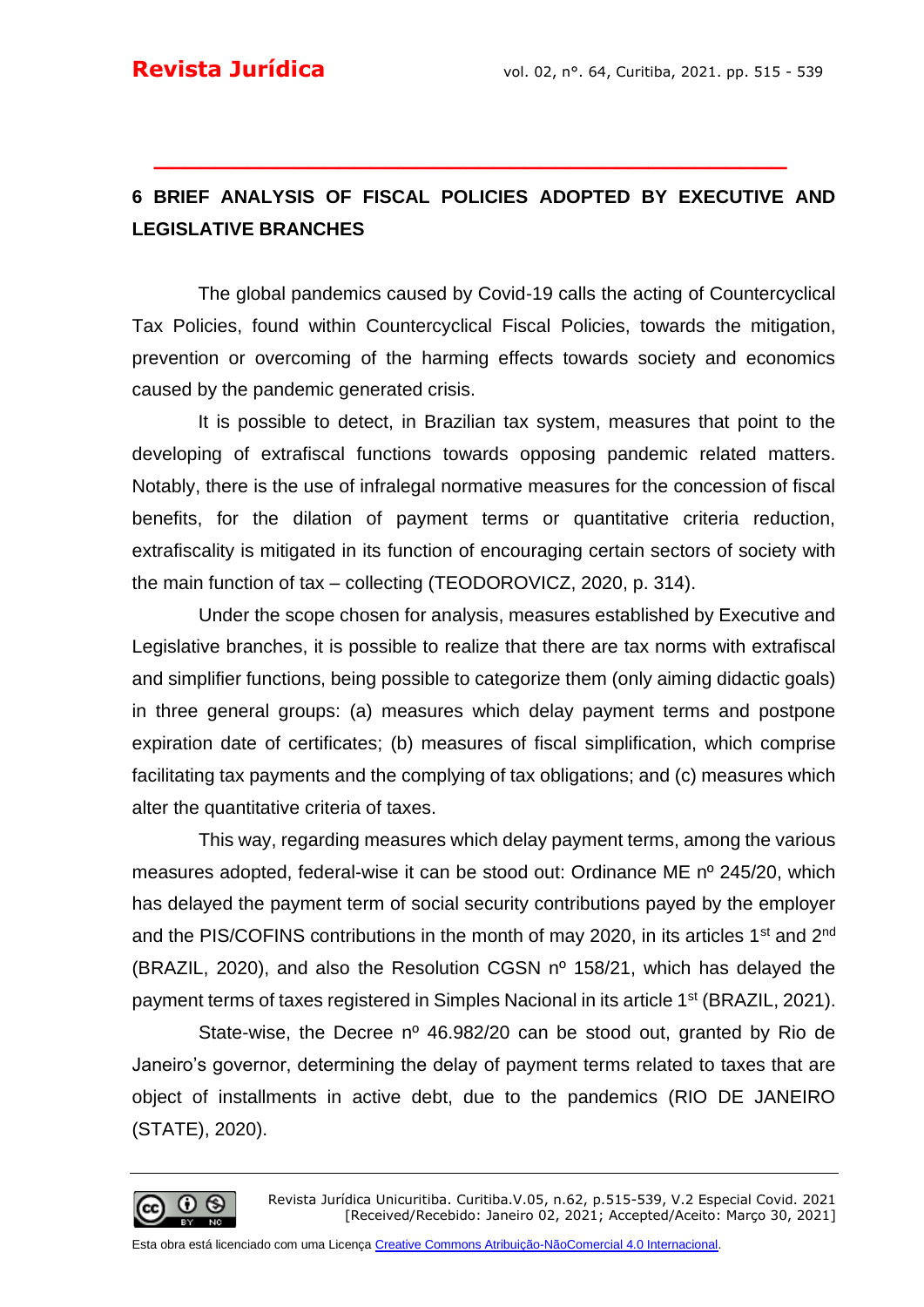# **6 BRIEF ANALYSIS OF FISCAL POLICIES ADOPTED BY EXECUTIVE AND LEGISLATIVE BRANCHES**

**\_\_\_\_\_\_\_\_\_\_\_\_\_\_\_\_\_\_\_\_\_\_\_\_\_\_\_\_\_\_\_\_\_\_\_\_\_\_\_\_\_**

The global pandemics caused by Covid-19 calls the acting of Countercyclical Tax Policies, found within Countercyclical Fiscal Policies, towards the mitigation, prevention or overcoming of the harming effects towards society and economics caused by the pandemic generated crisis.

It is possible to detect, in Brazilian tax system, measures that point to the developing of extrafiscal functions towards opposing pandemic related matters. Notably, there is the use of infralegal normative measures for the concession of fiscal benefits, for the dilation of payment terms or quantitative criteria reduction, extrafiscality is mitigated in its function of encouraging certain sectors of society with the main function of tax – collecting (TEODOROVICZ, 2020, p. 314).

Under the scope chosen for analysis, measures established by Executive and Legislative branches, it is possible to realize that there are tax norms with extrafiscal and simplifier functions, being possible to categorize them (only aiming didactic goals) in three general groups: (a) measures which delay payment terms and postpone expiration date of certificates; (b) measures of fiscal simplification, which comprise facilitating tax payments and the complying of tax obligations; and (c) measures which alter the quantitative criteria of taxes.

This way, regarding measures which delay payment terms, among the various measures adopted, federal-wise it can be stood out: Ordinance ME nº 245/20, which has delayed the payment term of social security contributions payed by the employer and the PIS/COFINS contributions in the month of may 2020, in its articles  $1<sup>st</sup>$  and  $2<sup>nd</sup>$ (BRAZIL, 2020), and also the Resolution CGSN nº 158/21, which has delayed the payment terms of taxes registered in Simples Nacional in its article 1<sup>st</sup> (BRAZIL, 2021).

State-wise, the Decree nº 46.982/20 can be stood out, granted by Rio de Janeiro's governor, determining the delay of payment terms related to taxes that are object of installments in active debt, due to the pandemics (RIO DE JANEIRO (STATE), 2020).

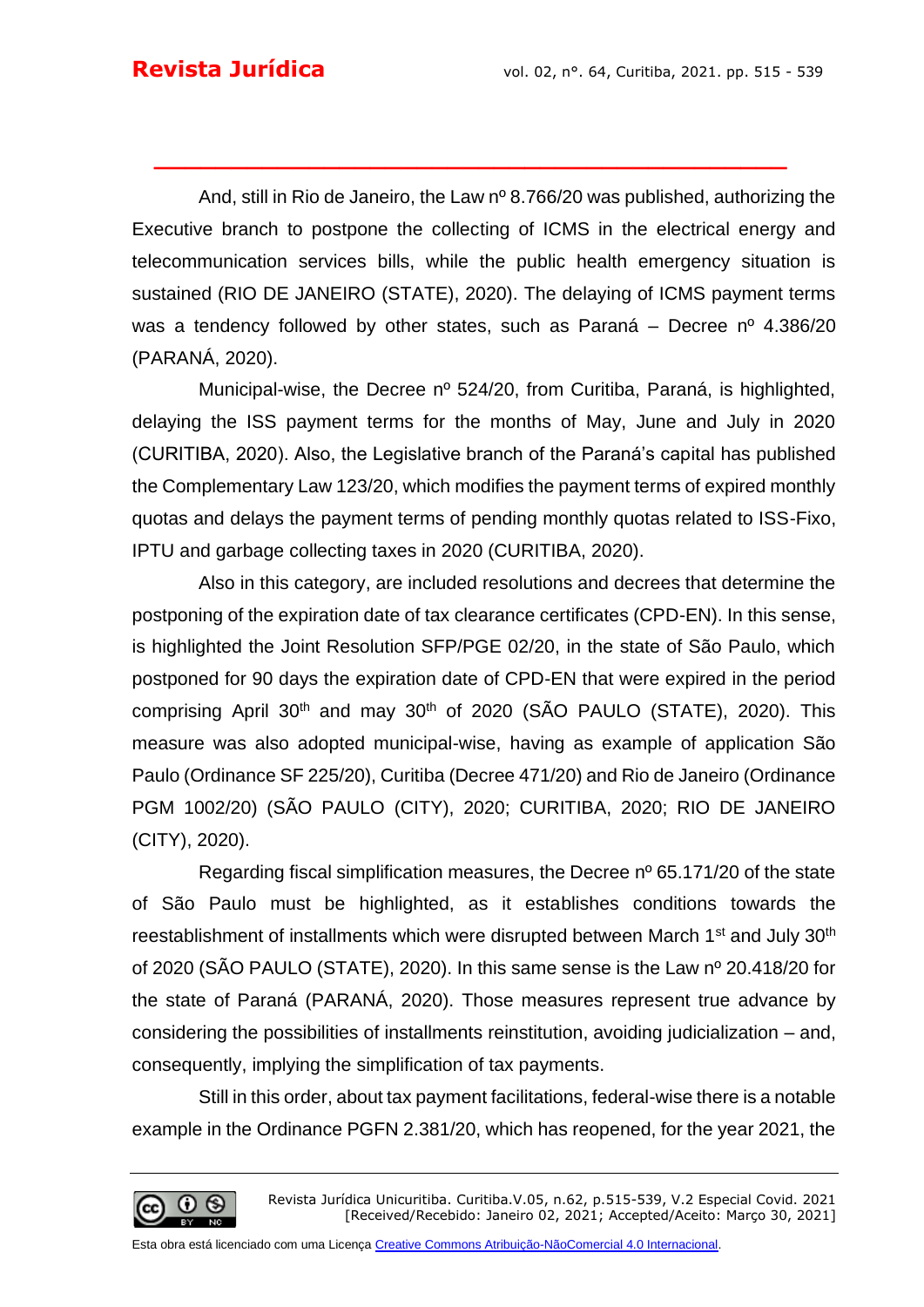And, still in Rio de Janeiro, the Law nº 8.766/20 was published, authorizing the Executive branch to postpone the collecting of ICMS in the electrical energy and telecommunication services bills, while the public health emergency situation is sustained (RIO DE JANEIRO (STATE), 2020). The delaying of ICMS payment terms was a tendency followed by other states, such as Paraná – Decree nº 4.386/20 (PARANÁ, 2020).

**\_\_\_\_\_\_\_\_\_\_\_\_\_\_\_\_\_\_\_\_\_\_\_\_\_\_\_\_\_\_\_\_\_\_\_\_\_\_\_\_\_**

Municipal-wise, the Decree nº 524/20, from Curitiba, Paraná, is highlighted, delaying the ISS payment terms for the months of May, June and July in 2020 (CURITIBA, 2020). Also, the Legislative branch of the Paraná's capital has published the Complementary Law 123/20, which modifies the payment terms of expired monthly quotas and delays the payment terms of pending monthly quotas related to ISS-Fixo, IPTU and garbage collecting taxes in 2020 (CURITIBA, 2020).

Also in this category, are included resolutions and decrees that determine the postponing of the expiration date of tax clearance certificates (CPD-EN). In this sense, is highlighted the Joint Resolution SFP/PGE 02/20, in the state of São Paulo, which postponed for 90 days the expiration date of CPD-EN that were expired in the period comprising April 30<sup>th</sup> and may 30<sup>th</sup> of 2020 (SÃO PAULO (STATE), 2020). This measure was also adopted municipal-wise, having as example of application São Paulo (Ordinance SF 225/20), Curitiba (Decree 471/20) and Rio de Janeiro (Ordinance PGM 1002/20) (SÃO PAULO (CITY), 2020; CURITIBA, 2020; RIO DE JANEIRO (CITY), 2020).

Regarding fiscal simplification measures, the Decree nº 65.171/20 of the state of São Paulo must be highlighted, as it establishes conditions towards the reestablishment of installments which were disrupted between March 1<sup>st</sup> and July 30<sup>th</sup> of 2020 (SÃO PAULO (STATE), 2020). In this same sense is the Law nº 20.418/20 for the state of Paraná (PARANÁ, 2020). Those measures represent true advance by considering the possibilities of installments reinstitution, avoiding judicialization – and, consequently, implying the simplification of tax payments.

Still in this order, about tax payment facilitations, federal-wise there is a notable example in the Ordinance PGFN 2.381/20, which has reopened, for the year 2021, the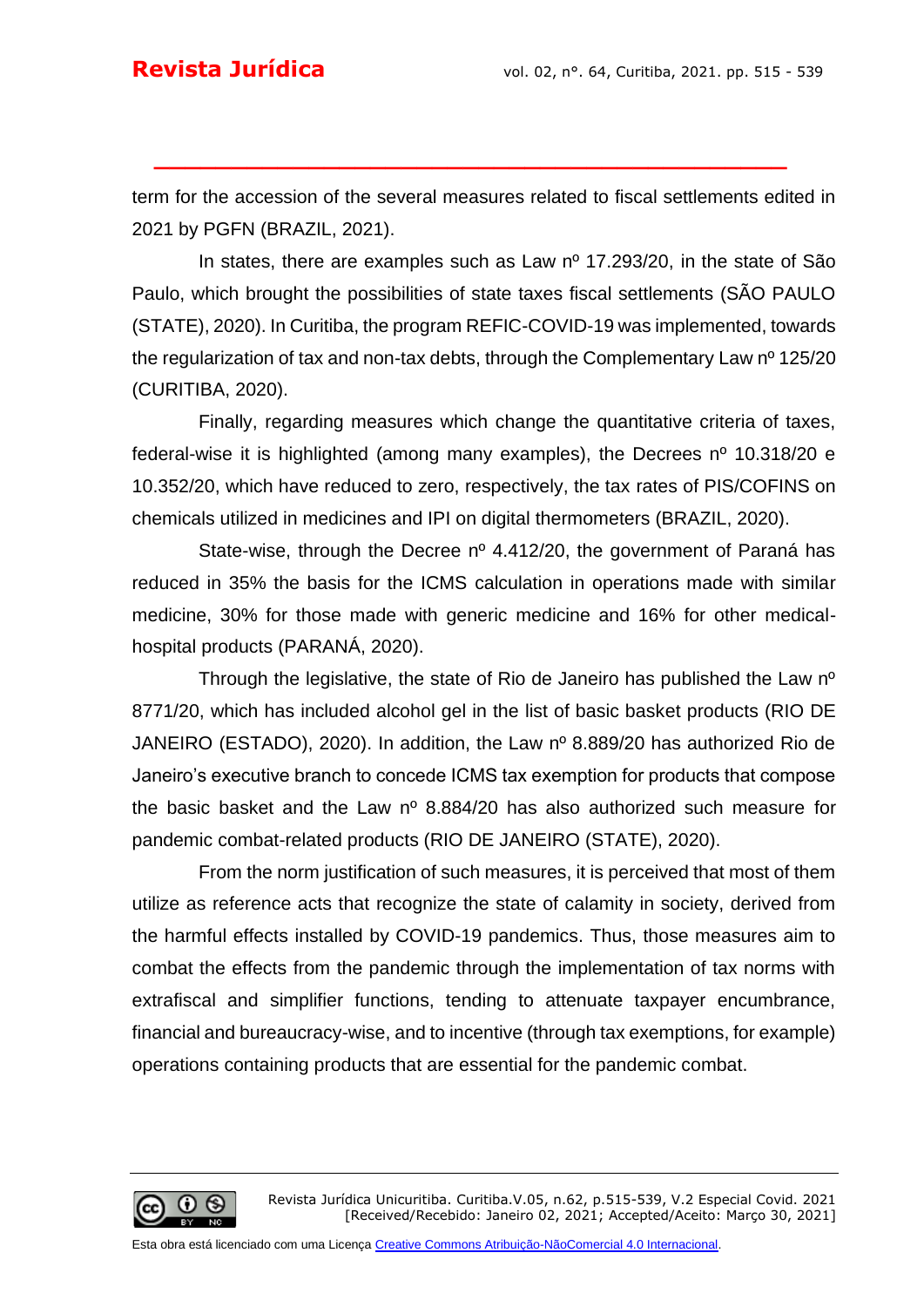term for the accession of the several measures related to fiscal settlements edited in 2021 by PGFN (BRAZIL, 2021).

**\_\_\_\_\_\_\_\_\_\_\_\_\_\_\_\_\_\_\_\_\_\_\_\_\_\_\_\_\_\_\_\_\_\_\_\_\_\_\_\_\_**

In states, there are examples such as Law  $n^{\circ}$  17.293/20, in the state of São Paulo, which brought the possibilities of state taxes fiscal settlements (SÃO PAULO (STATE), 2020). In Curitiba, the program REFIC-COVID-19 was implemented, towards the regularization of tax and non-tax debts, through the Complementary Law nº 125/20 (CURITIBA, 2020).

Finally, regarding measures which change the quantitative criteria of taxes, federal-wise it is highlighted (among many examples), the Decrees nº 10.318/20 e 10.352/20, which have reduced to zero, respectively, the tax rates of PIS/COFINS on chemicals utilized in medicines and IPI on digital thermometers (BRAZIL, 2020).

State-wise, through the Decree nº 4.412/20, the government of Paraná has reduced in 35% the basis for the ICMS calculation in operations made with similar medicine, 30% for those made with generic medicine and 16% for other medicalhospital products (PARANÁ, 2020).

Through the legislative, the state of Rio de Janeiro has published the Law nº 8771/20, which has included alcohol gel in the list of basic basket products (RIO DE JANEIRO (ESTADO), 2020). In addition, the Law nº 8.889/20 has authorized Rio de Janeiro's executive branch to concede ICMS tax exemption for products that compose the basic basket and the Law nº 8.884/20 has also authorized such measure for pandemic combat-related products (RIO DE JANEIRO (STATE), 2020).

From the norm justification of such measures, it is perceived that most of them utilize as reference acts that recognize the state of calamity in society, derived from the harmful effects installed by COVID-19 pandemics. Thus, those measures aim to combat the effects from the pandemic through the implementation of tax norms with extrafiscal and simplifier functions, tending to attenuate taxpayer encumbrance, financial and bureaucracy-wise, and to incentive (through tax exemptions, for example) operations containing products that are essential for the pandemic combat.

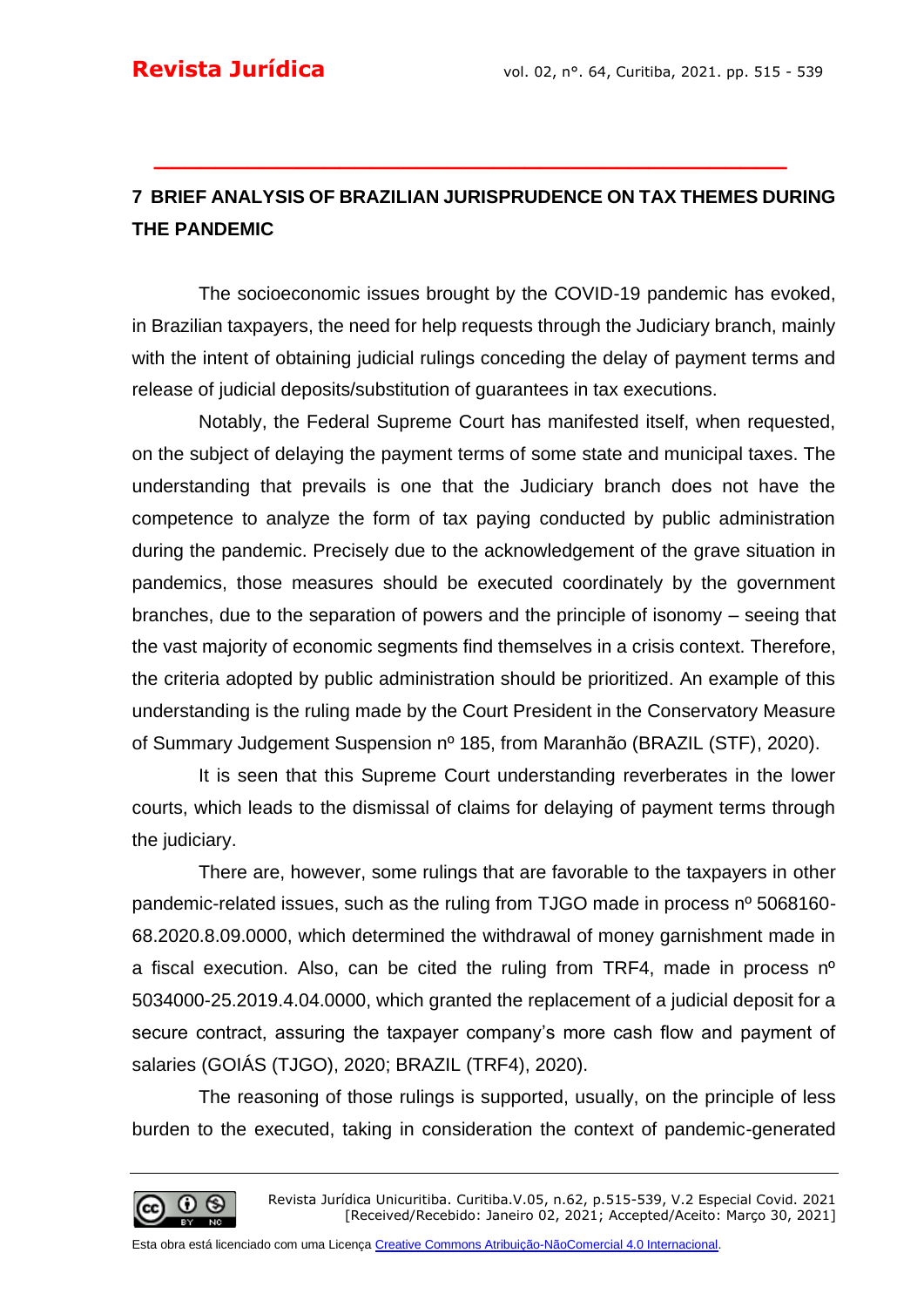# **7 BRIEF ANALYSIS OF BRAZILIAN JURISPRUDENCE ON TAX THEMES DURING THE PANDEMIC**

**\_\_\_\_\_\_\_\_\_\_\_\_\_\_\_\_\_\_\_\_\_\_\_\_\_\_\_\_\_\_\_\_\_\_\_\_\_\_\_\_\_**

The socioeconomic issues brought by the COVID-19 pandemic has evoked, in Brazilian taxpayers, the need for help requests through the Judiciary branch, mainly with the intent of obtaining judicial rulings conceding the delay of payment terms and release of judicial deposits/substitution of guarantees in tax executions.

Notably, the Federal Supreme Court has manifested itself, when requested, on the subject of delaying the payment terms of some state and municipal taxes. The understanding that prevails is one that the Judiciary branch does not have the competence to analyze the form of tax paying conducted by public administration during the pandemic. Precisely due to the acknowledgement of the grave situation in pandemics, those measures should be executed coordinately by the government branches, due to the separation of powers and the principle of isonomy – seeing that the vast majority of economic segments find themselves in a crisis context. Therefore, the criteria adopted by public administration should be prioritized. An example of this understanding is the ruling made by the Court President in the Conservatory Measure of Summary Judgement Suspension nº 185, from Maranhão (BRAZIL (STF), 2020).

It is seen that this Supreme Court understanding reverberates in the lower courts, which leads to the dismissal of claims for delaying of payment terms through the judiciary.

There are, however, some rulings that are favorable to the taxpayers in other pandemic-related issues, such as the ruling from TJGO made in process nº 5068160-68.2020.8.09.0000, which determined the withdrawal of money garnishment made in a fiscal execution. Also, can be cited the ruling from TRF4, made in process nº 5034000-25.2019.4.04.0000, which granted the replacement of a judicial deposit for a secure contract, assuring the taxpayer company's more cash flow and payment of salaries (GOIÁS (TJGO), 2020; BRAZIL (TRF4), 2020).

The reasoning of those rulings is supported, usually, on the principle of less burden to the executed, taking in consideration the context of pandemic-generated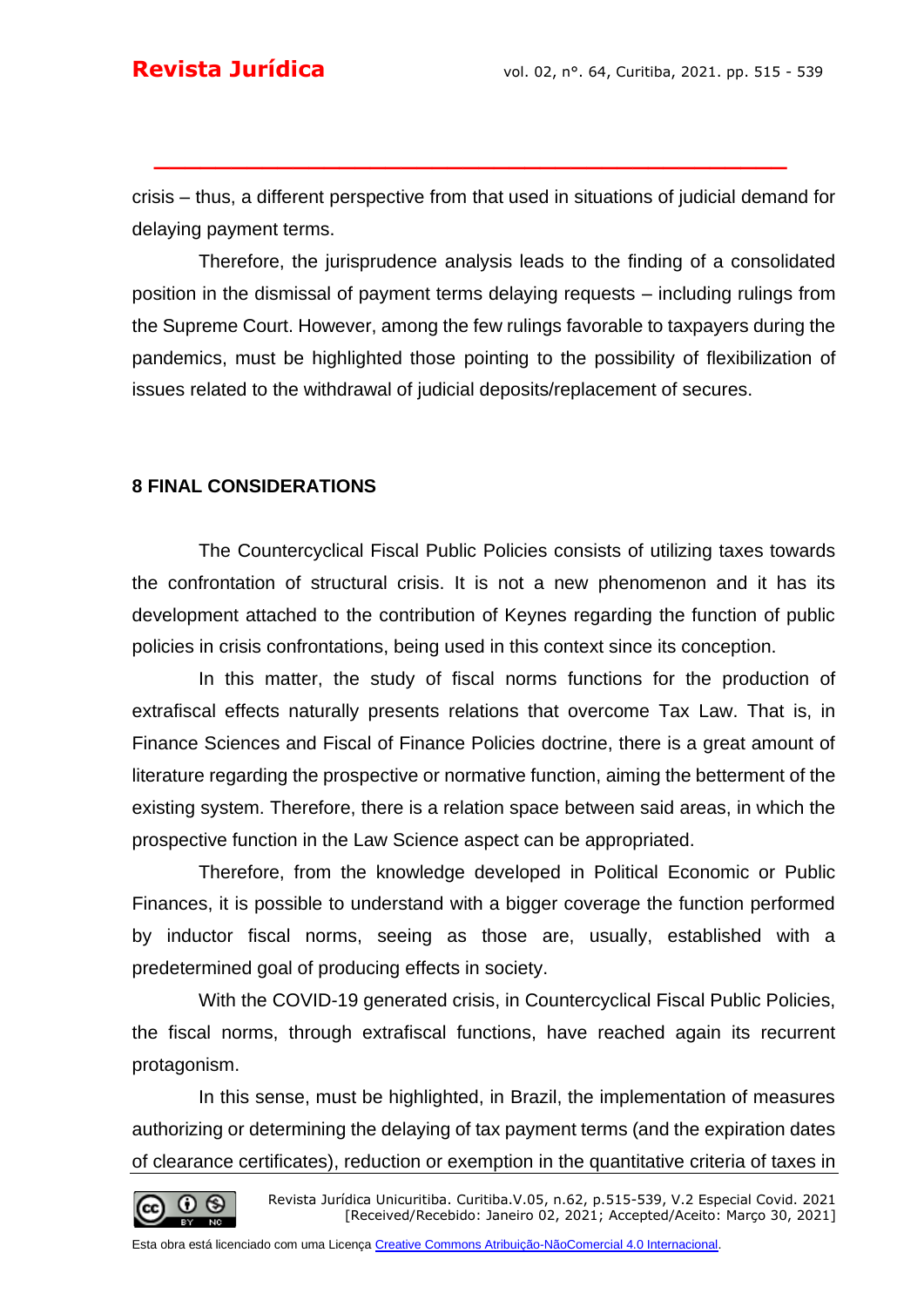crisis – thus, a different perspective from that used in situations of judicial demand for delaying payment terms.

**\_\_\_\_\_\_\_\_\_\_\_\_\_\_\_\_\_\_\_\_\_\_\_\_\_\_\_\_\_\_\_\_\_\_\_\_\_\_\_\_\_**

Therefore, the jurisprudence analysis leads to the finding of a consolidated position in the dismissal of payment terms delaying requests – including rulings from the Supreme Court. However, among the few rulings favorable to taxpayers during the pandemics, must be highlighted those pointing to the possibility of flexibilization of issues related to the withdrawal of judicial deposits/replacement of secures.

#### **8 FINAL CONSIDERATIONS**

The Countercyclical Fiscal Public Policies consists of utilizing taxes towards the confrontation of structural crisis. It is not a new phenomenon and it has its development attached to the contribution of Keynes regarding the function of public policies in crisis confrontations, being used in this context since its conception.

In this matter, the study of fiscal norms functions for the production of extrafiscal effects naturally presents relations that overcome Tax Law. That is, in Finance Sciences and Fiscal of Finance Policies doctrine, there is a great amount of literature regarding the prospective or normative function, aiming the betterment of the existing system. Therefore, there is a relation space between said areas, in which the prospective function in the Law Science aspect can be appropriated.

Therefore, from the knowledge developed in Political Economic or Public Finances, it is possible to understand with a bigger coverage the function performed by inductor fiscal norms, seeing as those are, usually, established with a predetermined goal of producing effects in society.

With the COVID-19 generated crisis, in Countercyclical Fiscal Public Policies, the fiscal norms, through extrafiscal functions, have reached again its recurrent protagonism.

In this sense, must be highlighted, in Brazil, the implementation of measures authorizing or determining the delaying of tax payment terms (and the expiration dates of clearance certificates), reduction or exemption in the quantitative criteria of taxes in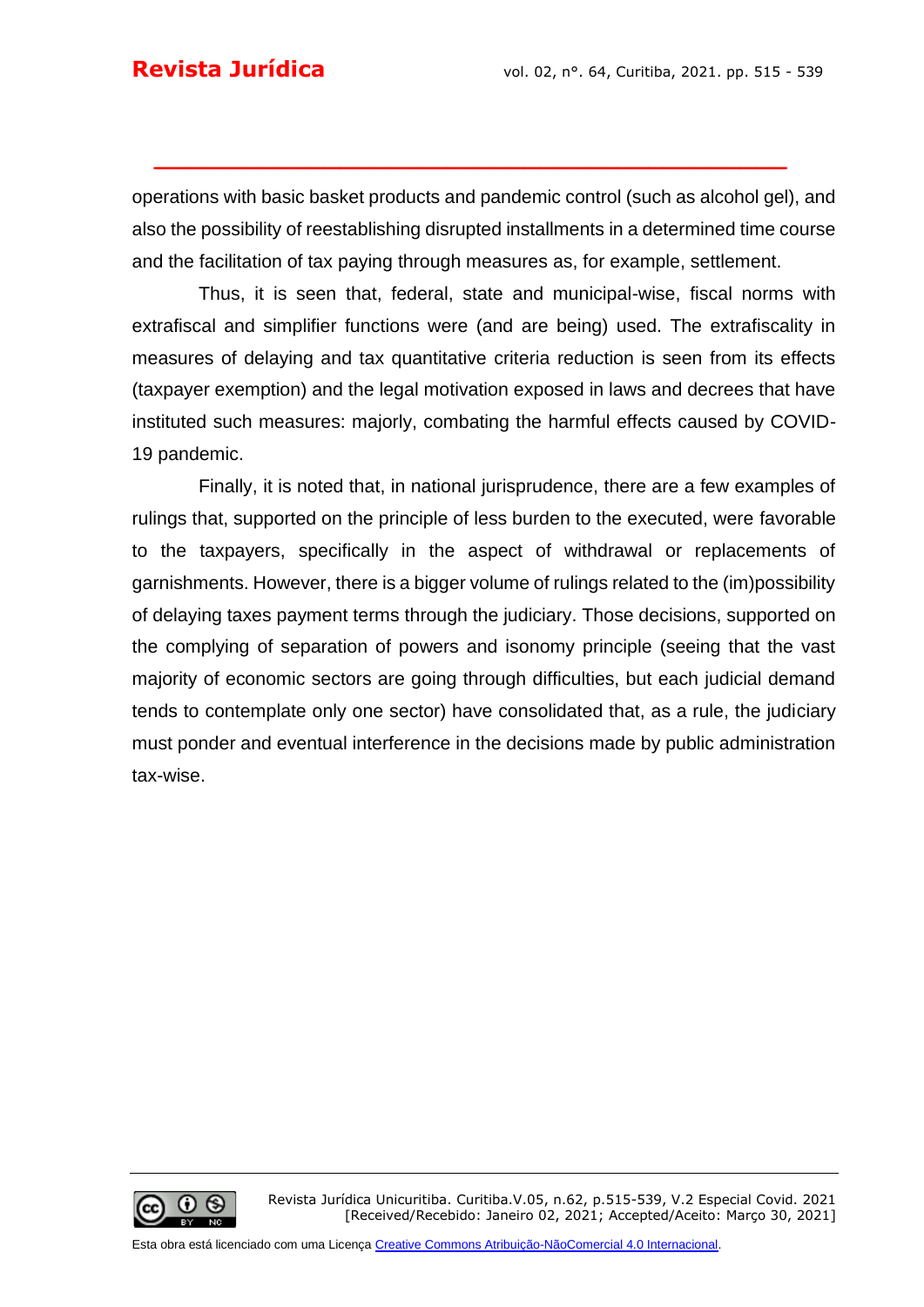operations with basic basket products and pandemic control (such as alcohol gel), and also the possibility of reestablishing disrupted installments in a determined time course and the facilitation of tax paying through measures as, for example, settlement.

**\_\_\_\_\_\_\_\_\_\_\_\_\_\_\_\_\_\_\_\_\_\_\_\_\_\_\_\_\_\_\_\_\_\_\_\_\_\_\_\_\_**

Thus, it is seen that, federal, state and municipal-wise, fiscal norms with extrafiscal and simplifier functions were (and are being) used. The extrafiscality in measures of delaying and tax quantitative criteria reduction is seen from its effects (taxpayer exemption) and the legal motivation exposed in laws and decrees that have instituted such measures: majorly, combating the harmful effects caused by COVID-19 pandemic.

Finally, it is noted that, in national jurisprudence, there are a few examples of rulings that, supported on the principle of less burden to the executed, were favorable to the taxpayers, specifically in the aspect of withdrawal or replacements of garnishments. However, there is a bigger volume of rulings related to the (im)possibility of delaying taxes payment terms through the judiciary. Those decisions, supported on the complying of separation of powers and isonomy principle (seeing that the vast majority of economic sectors are going through difficulties, but each judicial demand tends to contemplate only one sector) have consolidated that, as a rule, the judiciary must ponder and eventual interference in the decisions made by public administration tax-wise.

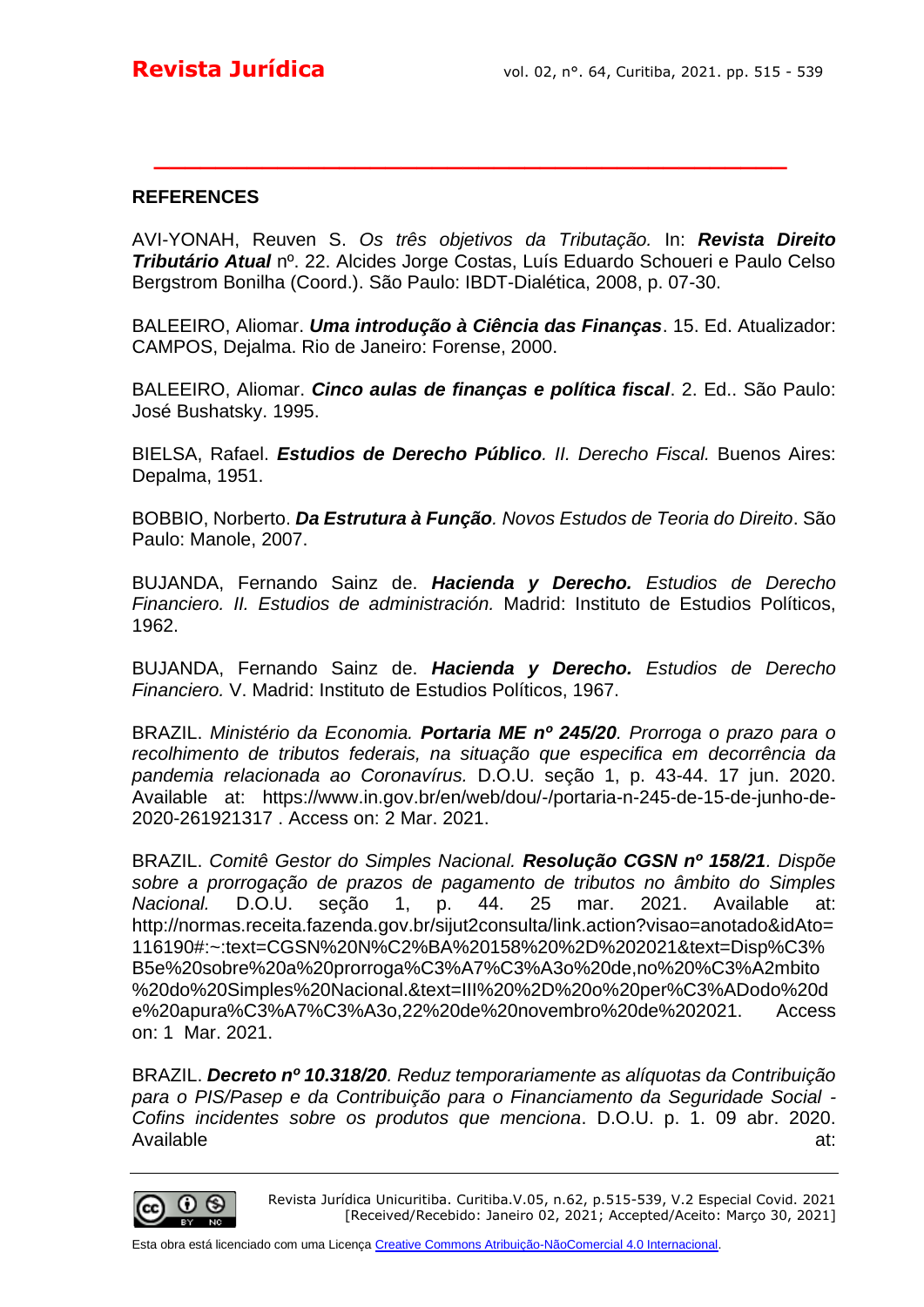#### **REFERENCES**

AVI-YONAH, Reuven S. *Os três objetivos da Tributação.* In: *Revista Direito Tributário Atual* nº. 22. Alcides Jorge Costas, Luís Eduardo Schoueri e Paulo Celso Bergstrom Bonilha (Coord.). São Paulo: IBDT-Dialética, 2008, p. 07-30.

**\_\_\_\_\_\_\_\_\_\_\_\_\_\_\_\_\_\_\_\_\_\_\_\_\_\_\_\_\_\_\_\_\_\_\_\_\_\_\_\_\_**

BALEEIRO, Aliomar. *Uma introdução à Ciência das Finanças*. 15. Ed. Atualizador: CAMPOS, Dejalma. Rio de Janeiro: Forense, 2000.

BALEEIRO, Aliomar. *Cinco aulas de finanças e política fiscal*. 2. Ed.. São Paulo: José Bushatsky. 1995.

BIELSA, Rafael. *Estudios de Derecho Público. II. Derecho Fiscal.* Buenos Aires: Depalma, 1951.

BOBBIO, Norberto. *Da Estrutura à Função. Novos Estudos de Teoria do Direito*. São Paulo: Manole, 2007.

BUJANDA, Fernando Sainz de. *Hacienda y Derecho. Estudios de Derecho Financiero. II. Estudios de administración.* Madrid: Instituto de Estudios Políticos, 1962.

BUJANDA, Fernando Sainz de. *Hacienda y Derecho. Estudios de Derecho Financiero.* V. Madrid: Instituto de Estudios Políticos, 1967.

BRAZIL. *Ministério da Economia. Portaria ME nº 245/20. Prorroga o prazo para o recolhimento de tributos federais, na situação que especifica em decorrência da pandemia relacionada ao Coronavírus.* D.O.U. seção 1, p. 43-44. 17 jun. 2020. Available at: https://www.in.gov.br/en/web/dou/-/portaria-n-245-de-15-de-junho-de-2020-261921317 . Access on: 2 Mar. 2021.

BRAZIL. *Comitê Gestor do Simples Nacional. Resolução CGSN nº 158/21. Dispõe sobre a prorrogação de prazos de pagamento de tributos no âmbito do Simples Nacional.* D.O.U. seção 1, p. 44. 25 mar. 2021. Available at: http://normas.receita.fazenda.gov.br/sijut2consulta/link.action?visao=anotado&idAto= 116190#:~:text=CGSN%20N%C2%BA%20158%20%2D%202021&text=Disp%C3% B5e%20sobre%20a%20prorroga%C3%A7%C3%A3o%20de,no%20%C3%A2mbito %20do%20Simples%20Nacional.&text=III%20%2D%20o%20per%C3%ADodo%20d e%20apura%C3%A7%C3%A3o,22%20de%20novembro%20de%202021. Access on: 1 Mar. 2021.

BRAZIL. *Decreto nº 10.318/20. Reduz temporariamente as alíquotas da Contribuição para o PIS/Pasep e da Contribuição para o Financiamento da Seguridade Social - Cofins incidentes sobre os produtos que menciona*. D.O.U. p. 1. 09 abr. 2020. Available at:



Revista Jurídica Unicuritiba. Curitiba.V.05, n.62, p.515-539, V.2 Especial Covid. 2021 [Received/Recebido: Janeiro 02, 2021; Accepted/Aceito: Março 30, 2021]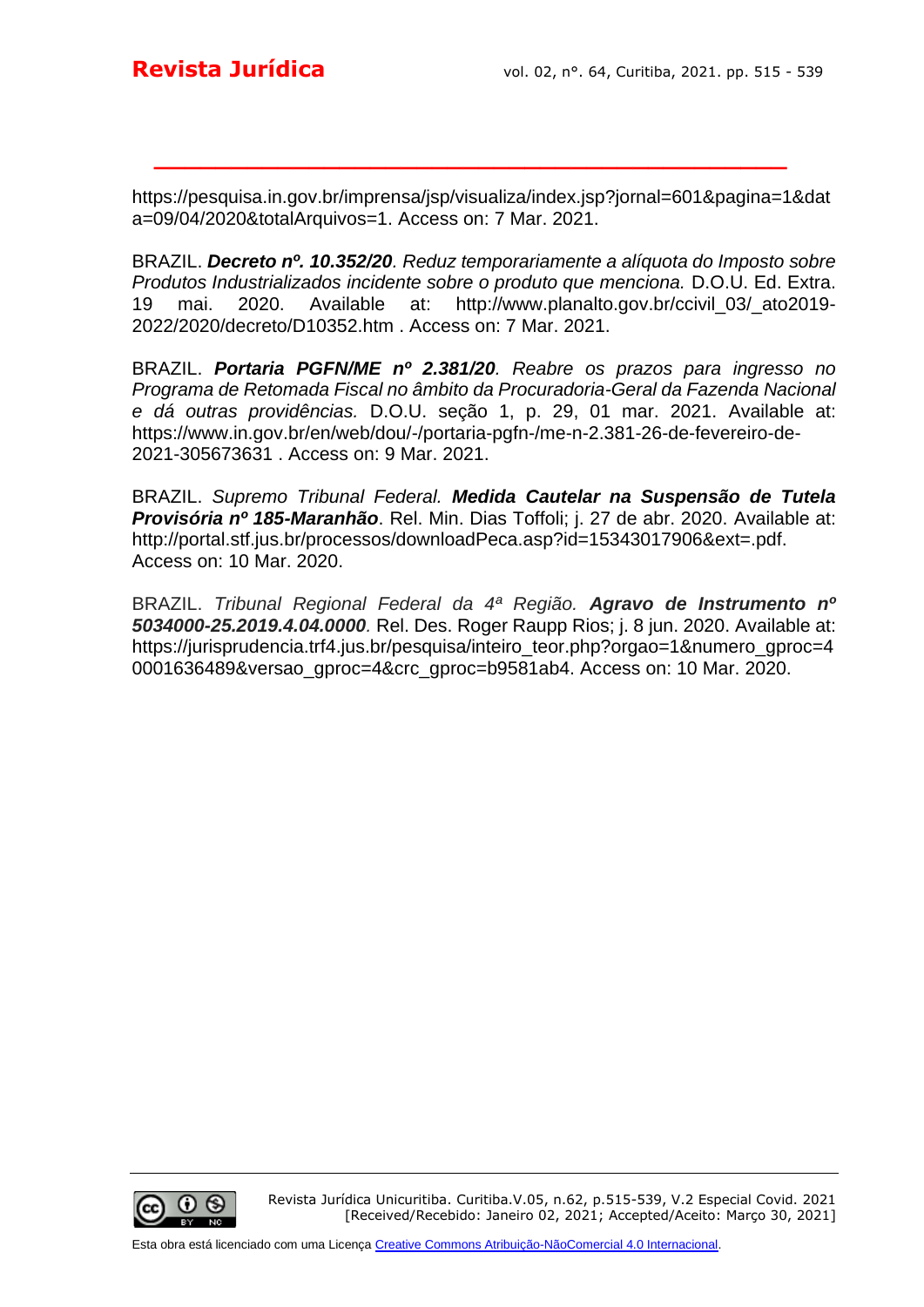https://pesquisa.in.gov.br/imprensa/jsp/visualiza/index.jsp?jornal=601&pagina=1&dat a=09/04/2020&totalArquivos=1. Access on: 7 Mar. 2021.

**\_\_\_\_\_\_\_\_\_\_\_\_\_\_\_\_\_\_\_\_\_\_\_\_\_\_\_\_\_\_\_\_\_\_\_\_\_\_\_\_\_**

BRAZIL. *Decreto nº. 10.352/20. Reduz temporariamente a alíquota do Imposto sobre Produtos Industrializados incidente sobre o produto que menciona.* D.O.U. Ed. Extra. 19 mai. 2020. Available at: http://www.planalto.gov.br/ccivil\_03/\_ato2019- 2022/2020/decreto/D10352.htm . Access on: 7 Mar. 2021.

BRAZIL. *Portaria PGFN/ME nº 2.381/20. Reabre os prazos para ingresso no Programa de Retomada Fiscal no âmbito da Procuradoria-Geral da Fazenda Nacional e dá outras providências.* D.O.U. seção 1, p. 29, 01 mar. 2021. Available at: https://www.in.gov.br/en/web/dou/-/portaria-pgfn-/me-n-2.381-26-de-fevereiro-de-2021-305673631 . Access on: 9 Mar. 2021.

BRAZIL. *Supremo Tribunal Federal. Medida Cautelar na Suspensão de Tutela Provisória nº 185-Maranhão*. Rel. Min. Dias Toffoli; j. 27 de abr. 2020. Available at: http://portal.stf.jus.br/processos/downloadPeca.asp?id=15343017906&ext=.pdf. Access on: 10 Mar. 2020.

BRAZIL. *Tribunal Regional Federal da 4ª Região. Agravo de Instrumento nº 5034000-25.2019.4.04.0000.* Rel. Des. Roger Raupp Rios; j. 8 jun. 2020. Available at: https://jurisprudencia.trf4.jus.br/pesquisa/inteiro\_teor.php?orgao=1&numero\_gproc=4 0001636489&versao\_gproc=4&crc\_gproc=b9581ab4. Access on: 10 Mar. 2020.

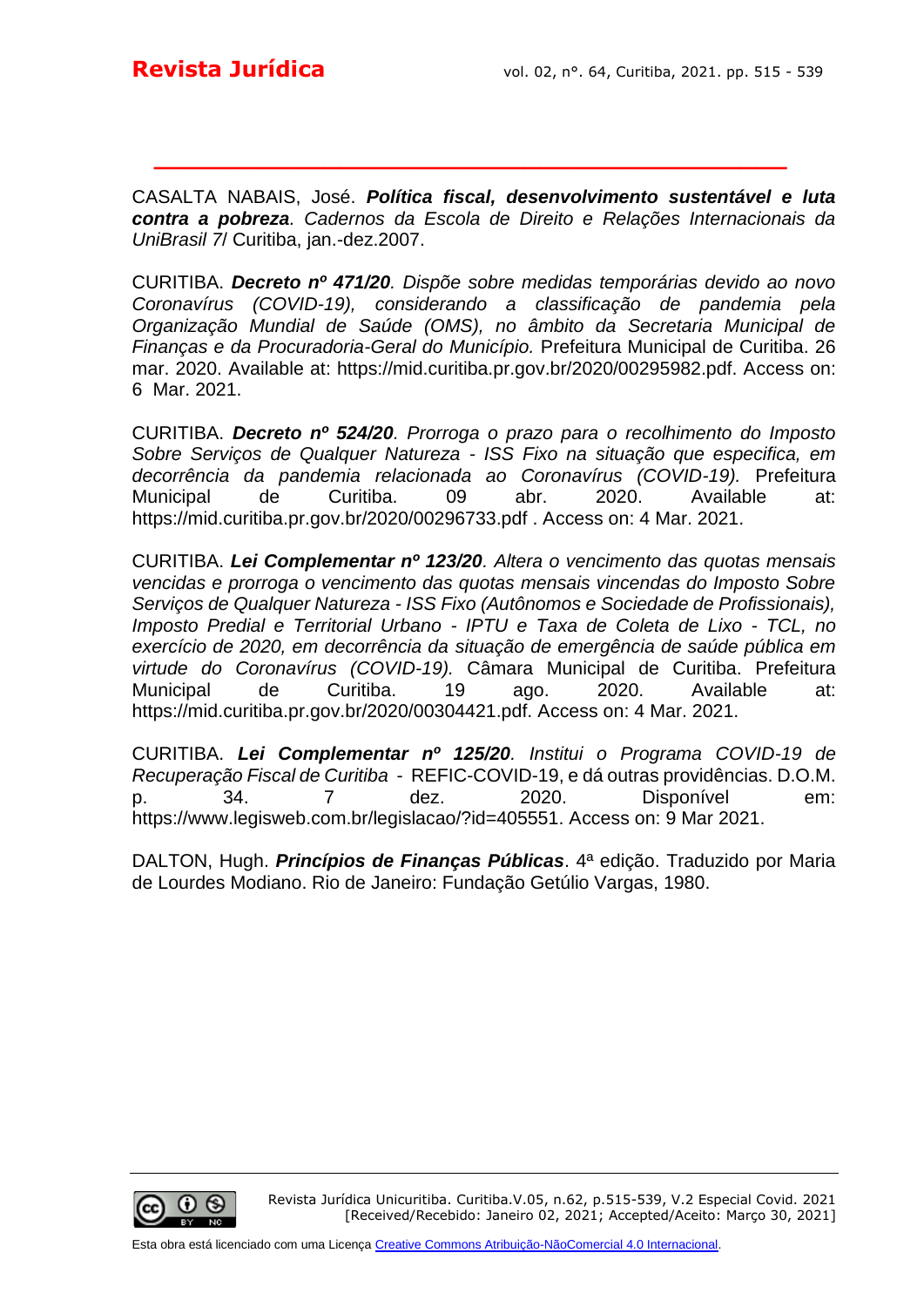CASALTA NABAIS, José. *Política fiscal, desenvolvimento sustentável e luta contra a pobreza. Cadernos da Escola de Direito e Relações Internacionais da UniBrasil 7*/ Curitiba, jan.-dez.2007.

**\_\_\_\_\_\_\_\_\_\_\_\_\_\_\_\_\_\_\_\_\_\_\_\_\_\_\_\_\_\_\_\_\_\_\_\_\_\_\_\_\_**

CURITIBA. *Decreto nº 471/20. Dispõe sobre medidas temporárias devido ao novo Coronavírus (COVID-19), considerando a classificação de pandemia pela Organização Mundial de Saúde (OMS), no âmbito da Secretaria Municipal de Finanças e da Procuradoria-Geral do Município.* Prefeitura Municipal de Curitiba. 26 mar. 2020. Available at: https://mid.curitiba.pr.gov.br/2020/00295982.pdf. Access on: 6 Mar. 2021.

CURITIBA. *Decreto nº 524/20. Prorroga o prazo para o recolhimento do Imposto Sobre Serviços de Qualquer Natureza - ISS Fixo na situação que especifica, em decorrência da pandemia relacionada ao Coronavírus (COVID-19).* Prefeitura Municipal de Curitiba. 09 abr. 2020. Available at: https://mid.curitiba.pr.gov.br/2020/00296733.pdf . Access on: 4 Mar. 2021.

CURITIBA. *Lei Complementar nº 123/20. Altera o vencimento das quotas mensais vencidas e prorroga o vencimento das quotas mensais vincendas do Imposto Sobre Serviços de Qualquer Natureza - ISS Fixo (Autônomos e Sociedade de Profissionais), Imposto Predial e Territorial Urbano - IPTU e Taxa de Coleta de Lixo - TCL, no exercício de 2020, em decorrência da situação de emergência de saúde pública em virtude do Coronavírus (COVID-19).* Câmara Municipal de Curitiba. Prefeitura Municipal de Curitiba. 19 ago. 2020. Available at: https://mid.curitiba.pr.gov.br/2020/00304421.pdf. Access on: 4 Mar. 2021.

CURITIBA. *Lei Complementar nº 125/20. Institui o Programa COVID-19 de Recuperação Fiscal de Curitiba* - REFIC-COVID-19, e dá outras providências. D.O.M. p. 34. 7 dez. 2020. Disponível em: https://www.legisweb.com.br/legislacao/?id=405551. Access on: 9 Mar 2021.

DALTON, Hugh. *Princípios de Finanças Públicas*. 4ª edição. Traduzido por Maria de Lourdes Modiano. Rio de Janeiro: Fundação Getúlio Vargas, 1980.

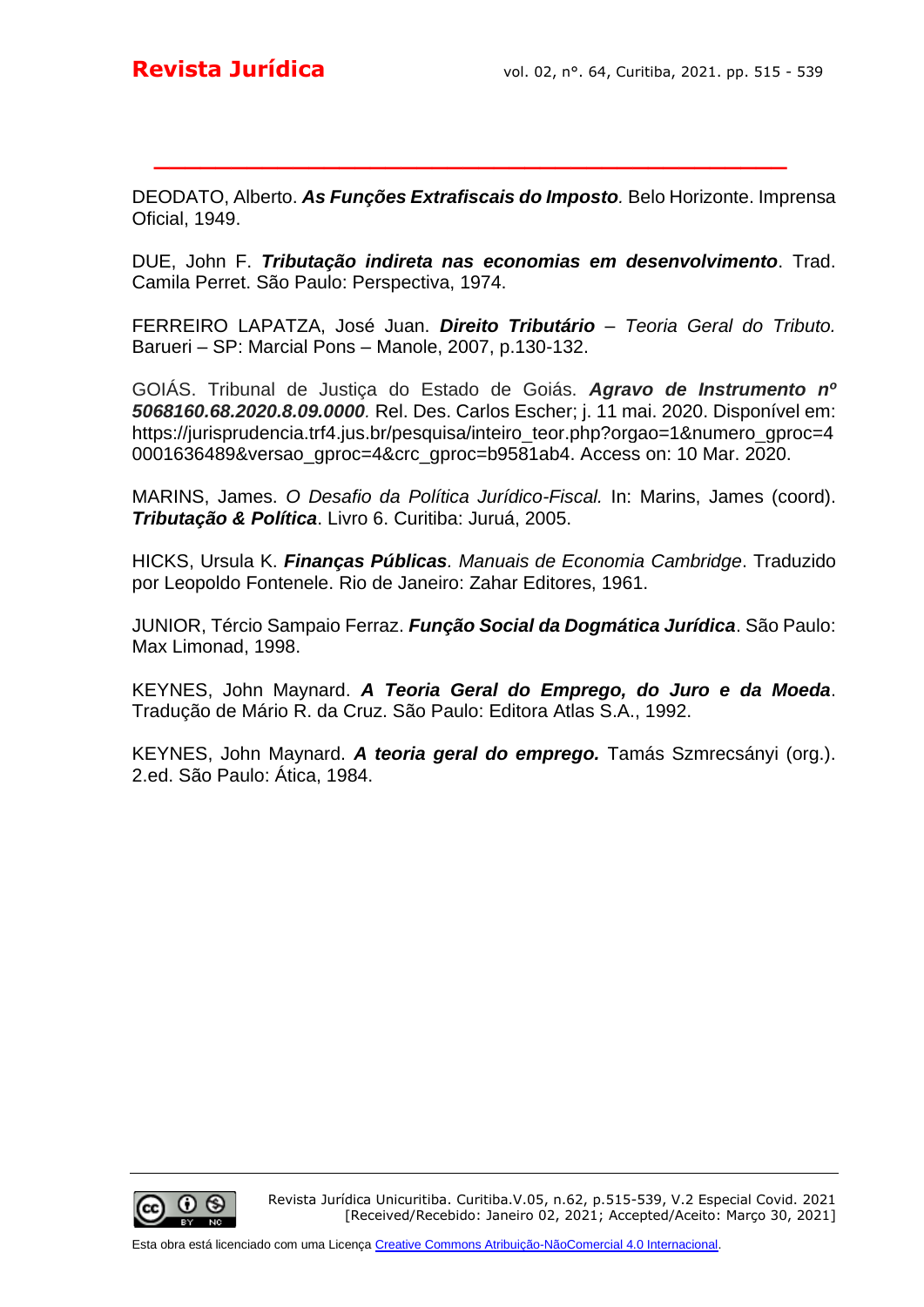DEODATO, Alberto. *As Funções Extrafiscais do Imposto.* Belo Horizonte. Imprensa Oficial, 1949.

**\_\_\_\_\_\_\_\_\_\_\_\_\_\_\_\_\_\_\_\_\_\_\_\_\_\_\_\_\_\_\_\_\_\_\_\_\_\_\_\_\_**

DUE, John F. *Tributação indireta nas economias em desenvolvimento*. Trad. Camila Perret. São Paulo: Perspectiva, 1974.

FERREIRO LAPATZA, José Juan. *Direito Tributário – Teoria Geral do Tributo.* Barueri – SP: Marcial Pons – Manole, 2007, p.130-132.

GOIÁS. Tribunal de Justiça do Estado de Goiás. *Agravo de Instrumento nº 5068160.68.2020.8.09.0000.* Rel. Des. Carlos Escher; j. 11 mai. 2020. Disponível em: https://jurisprudencia.trf4.jus.br/pesquisa/inteiro\_teor.php?orgao=1&numero\_gproc=4 0001636489&versao\_gproc=4&crc\_gproc=b9581ab4. Access on: 10 Mar. 2020.

MARINS, James. *O Desafio da Política Jurídico-Fiscal.* In: Marins, James (coord). *Tributação & Política*. Livro 6. Curitiba: Juruá, 2005.

HICKS, Ursula K. *Finanças Públicas. Manuais de Economia Cambridge*. Traduzido por Leopoldo Fontenele. Rio de Janeiro: Zahar Editores, 1961.

JUNIOR, Tércio Sampaio Ferraz. *Função Social da Dogmática Jurídica*. São Paulo: Max Limonad, 1998.

KEYNES, John Maynard. *A Teoria Geral do Emprego, do Juro e da Moeda*. Tradução de Mário R. da Cruz. São Paulo: Editora Atlas S.A., 1992.

KEYNES, John Maynard. *A teoria geral do emprego.* Tamás Szmrecsányi (org.). 2.ed. São Paulo: Ática, 1984.

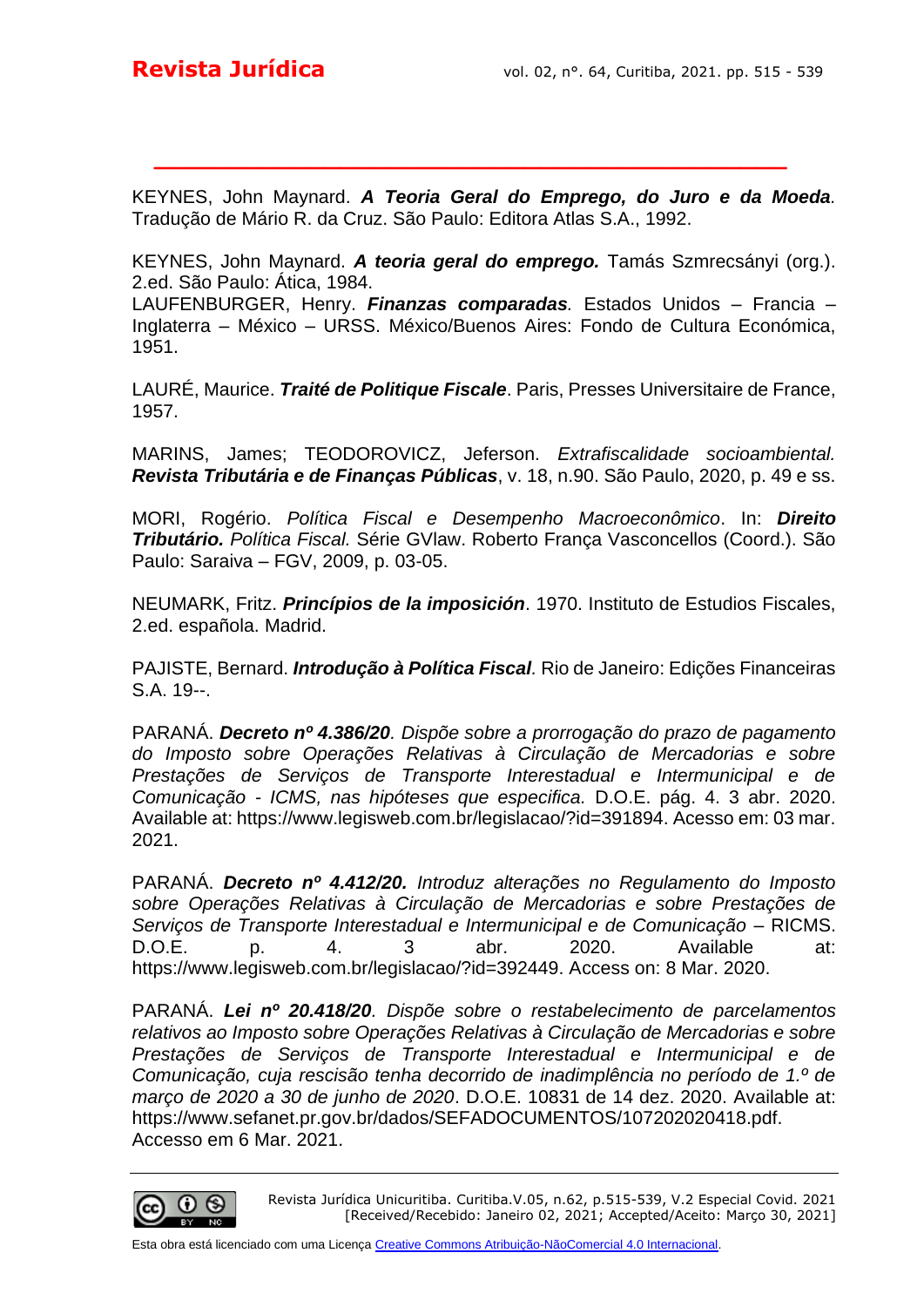KEYNES, John Maynard. *A Teoria Geral do Emprego, do Juro e da Moeda.* Tradução de Mário R. da Cruz. São Paulo: Editora Atlas S.A., 1992.

**\_\_\_\_\_\_\_\_\_\_\_\_\_\_\_\_\_\_\_\_\_\_\_\_\_\_\_\_\_\_\_\_\_\_\_\_\_\_\_\_\_**

KEYNES, John Maynard. *A teoria geral do emprego.* Tamás Szmrecsányi (org.). 2.ed. São Paulo: Ática, 1984.

LAUFENBURGER, Henry. *Finanzas comparadas.* Estados Unidos – Francia – Inglaterra – México – URSS. México/Buenos Aires: Fondo de Cultura Económica, 1951.

LAURÉ, Maurice. *Traité de Politique Fiscale*. Paris, Presses Universitaire de France, 1957.

MARINS, James; TEODOROVICZ, Jeferson. *Extrafiscalidade socioambiental. Revista Tributária e de Finanças Públicas*, v. 18, n.90. São Paulo, 2020, p. 49 e ss.

MORI, Rogério. *Política Fiscal e Desempenho Macroeconômico*. In: *Direito Tributário. Política Fiscal.* Série GVlaw. Roberto França Vasconcellos (Coord.). São Paulo: Saraiva – FGV, 2009, p. 03-05.

NEUMARK, Fritz. *Princípios de la imposición*. 1970. Instituto de Estudios Fiscales, 2.ed. española. Madrid.

PAJISTE, Bernard. *Introdução à Política Fiscal.* Rio de Janeiro: Edições Financeiras S.A. 19--.

PARANÁ. *Decreto nº 4.386/20. Dispõe sobre a prorrogação do prazo de pagamento do Imposto sobre Operações Relativas à Circulação de Mercadorias e sobre Prestações de Serviços de Transporte Interestadual e Intermunicipal e de Comunicação - ICMS, nas hipóteses que especifica.* D.O.E. pág. 4. 3 abr. 2020. Available at: https://www.legisweb.com.br/legislacao/?id=391894. Acesso em: 03 mar. 2021.

PARANÁ. *Decreto nº 4.412/20. Introduz alterações no Regulamento do Imposto sobre Operações Relativas à Circulação de Mercadorias e sobre Prestações de Serviços de Transporte Interestadual e Intermunicipal e de Comunicação* – RICMS. D.O.E. p. 4. 3 abr. 2020. Available at: https://www.legisweb.com.br/legislacao/?id=392449. Access on: 8 Mar. 2020.

PARANÁ. *Lei nº 20.418/20. Dispõe sobre o restabelecimento de parcelamentos relativos ao Imposto sobre Operações Relativas à Circulação de Mercadorias e sobre Prestações de Serviços de Transporte Interestadual e Intermunicipal e de Comunicação, cuja rescisão tenha decorrido de inadimplência no período de 1.º de março de 2020 a 30 de junho de 2020*. D.O.E. 10831 de 14 dez. 2020. Available at: https://www.sefanet.pr.gov.br/dados/SEFADOCUMENTOS/107202020418.pdf. Accesso em 6 Mar. 2021.

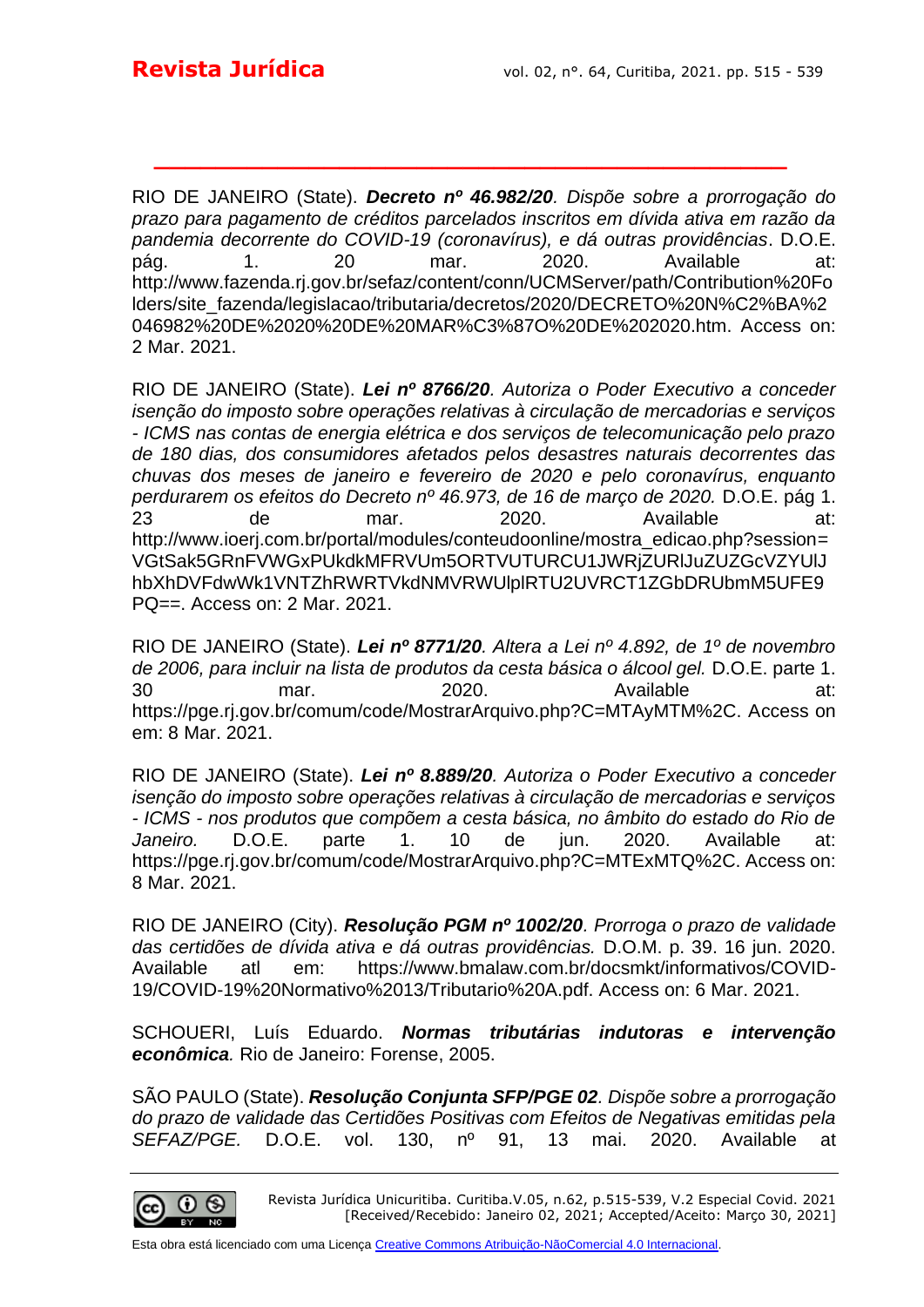RIO DE JANEIRO (State). *Decreto nº 46.982/20. Dispõe sobre a prorrogação do prazo para pagamento de créditos parcelados inscritos em dívida ativa em razão da pandemia decorrente do COVID-19 (coronavírus), e dá outras providências*. D.O.E. pág. 1. 20 mar. 2020. Available at: http://www.fazenda.rj.gov.br/sefaz/content/conn/UCMServer/path/Contribution%20Fo lders/site\_fazenda/legislacao/tributaria/decretos/2020/DECRETO%20N%C2%BA%2 046982%20DE%2020%20DE%20MAR%C3%87O%20DE%202020.htm. Access on: 2 Mar. 2021.

**\_\_\_\_\_\_\_\_\_\_\_\_\_\_\_\_\_\_\_\_\_\_\_\_\_\_\_\_\_\_\_\_\_\_\_\_\_\_\_\_\_**

RIO DE JANEIRO (State). *Lei nº 8766/20. Autoriza o Poder Executivo a conceder isenção do imposto sobre operações relativas à circulação de mercadorias e serviços - ICMS nas contas de energia elétrica e dos serviços de telecomunicação pelo prazo de 180 dias, dos consumidores afetados pelos desastres naturais decorrentes das chuvas dos meses de janeiro e fevereiro de 2020 e pelo coronavírus, enquanto perdurarem os efeitos do Decreto nº 46.973, de 16 de março de 2020.* D.O.E. pág 1. 23 de mar. 2020. Available at: http://www.ioerj.com.br/portal/modules/conteudoonline/mostra\_edicao.php?session= VGtSak5GRnFVWGxPUkdkMFRVUm5ORTVUTURCU1JWRjZURlJuZUZGcVZYUlJ hbXhDVFdwWk1VNTZhRWRTVkdNMVRWUlplRTU2UVRCT1ZGbDRUbmM5UFE9 PQ==. Access on: 2 Mar. 2021.

RIO DE JANEIRO (State). *Lei nº 8771/20. Altera a Lei nº 4.892, de 1º de novembro de 2006, para incluir na lista de produtos da cesta básica o álcool gel.* D.O.E. parte 1. 30 mar. 2020. Available at: https://pge.rj.gov.br/comum/code/MostrarArquivo.php?C=MTAyMTM%2C. Access on em: 8 Mar. 2021.

RIO DE JANEIRO (State). *Lei nº 8.889/20. Autoriza o Poder Executivo a conceder isenção do imposto sobre operações relativas à circulação de mercadorias e serviços - ICMS - nos produtos que compõem a cesta básica, no âmbito do estado do Rio de Janeiro.* D.O.E. parte 1. 10 de jun. 2020. Available at: https://pge.rj.gov.br/comum/code/MostrarArquivo.php?C=MTExMTQ%2C. Access on: 8 Mar. 2021.

RIO DE JANEIRO (City). *Resolução PGM nº 1002/20. Prorroga o prazo de validade das certidões de dívida ativa e dá outras providências.* D.O.M. p. 39. 16 jun. 2020. Available atl em: https://www.bmalaw.com.br/docsmkt/informativos/COVID-19/COVID-19%20Normativo%2013/Tributario%20A.pdf. Access on: 6 Mar. 2021.

SCHOUERI, Luís Eduardo. *Normas tributárias indutoras e intervenção econômica.* Rio de Janeiro: Forense, 2005.

SÃO PAULO (State). *Resolução Conjunta SFP/PGE 02. Dispõe sobre a prorrogação do prazo de validade das Certidões Positivas com Efeitos de Negativas emitidas pela SEFAZ/PGE.* D.O.E. vol. 130, nº 91, 13 mai. 2020. Available at